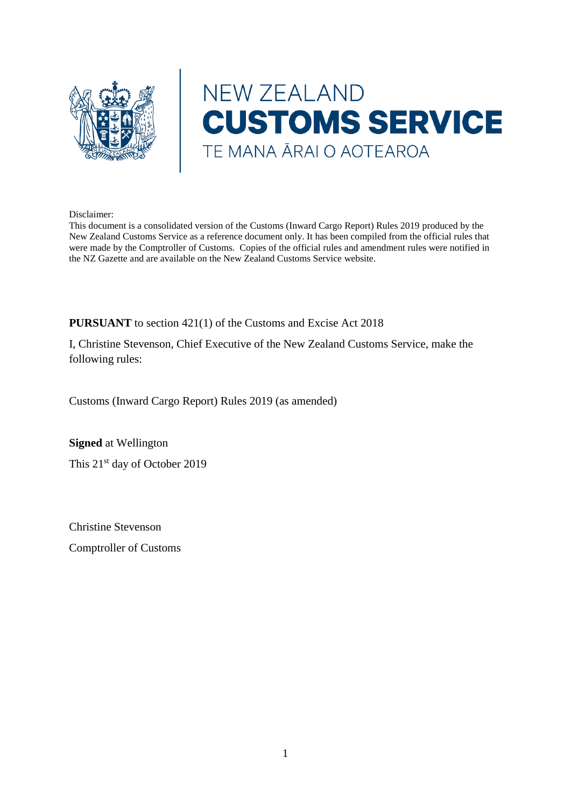

# NEW ZEALAND **CUSTOMS SERVICE** TE MANA ĀRAI O AOTEAROA

#### Disclaimer:

This document is a consolidated version of the Customs (Inward Cargo Report) Rules 2019 produced by the New Zealand Customs Service as a reference document only. It has been compiled from the official rules that were made by the Comptroller of Customs. Copies of the official rules and amendment rules were notified in the NZ Gazette and are available on the New Zealand Customs Service website.

**PURSUANT** to section 421(1) of the Customs and Excise Act 2018

I, Christine Stevenson, Chief Executive of the New Zealand Customs Service, make the following rules:

Customs (Inward Cargo Report) Rules 2019 (as amended)

**Signed** at Wellington This 21<sup>st</sup> day of October 2019

Christine Stevenson

Comptroller of Customs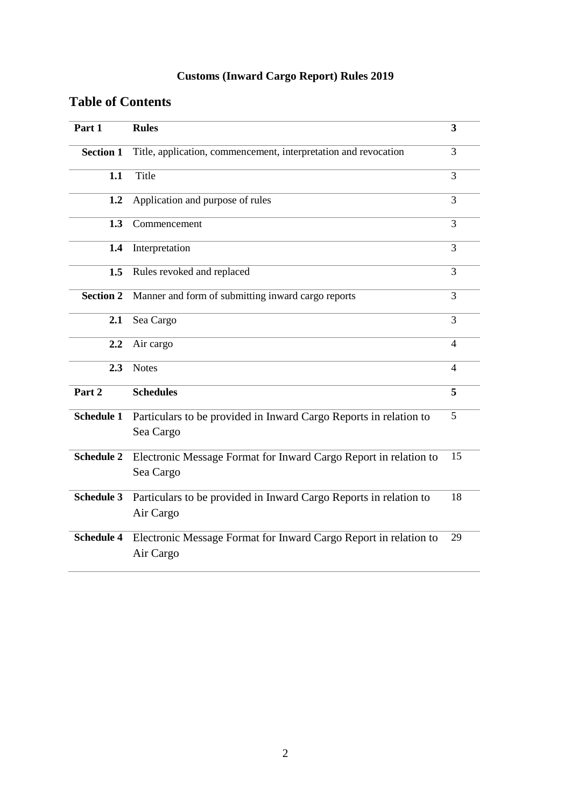# **Customs (Inward Cargo Report) Rules 2019**

# **Table of Contents**

| Part 1            | <b>Rules</b>                                                                   | 3 |  |
|-------------------|--------------------------------------------------------------------------------|---|--|
| <b>Section 1</b>  | Title, application, commencement, interpretation and revocation                |   |  |
| 1.1               | Title                                                                          |   |  |
| 1.2               | Application and purpose of rules                                               |   |  |
| 1.3               | Commencement                                                                   |   |  |
| 1.4               | Interpretation                                                                 |   |  |
| 1.5               | Rules revoked and replaced                                                     |   |  |
| <b>Section 2</b>  | Manner and form of submitting inward cargo reports                             |   |  |
| 2.1               | Sea Cargo                                                                      | 3 |  |
| 2.2               | Air cargo                                                                      |   |  |
| 2.3               | <b>Notes</b>                                                                   |   |  |
| Part 2            | <b>Schedules</b>                                                               | 5 |  |
| <b>Schedule 1</b> | Particulars to be provided in Inward Cargo Reports in relation to<br>Sea Cargo | 5 |  |
| <b>Schedule 2</b> | Electronic Message Format for Inward Cargo Report in relation to<br>Sea Cargo  |   |  |
| <b>Schedule 3</b> | Particulars to be provided in Inward Cargo Reports in relation to<br>Air Cargo |   |  |
| <b>Schedule 4</b> | Electronic Message Format for Inward Cargo Report in relation to<br>Air Cargo  |   |  |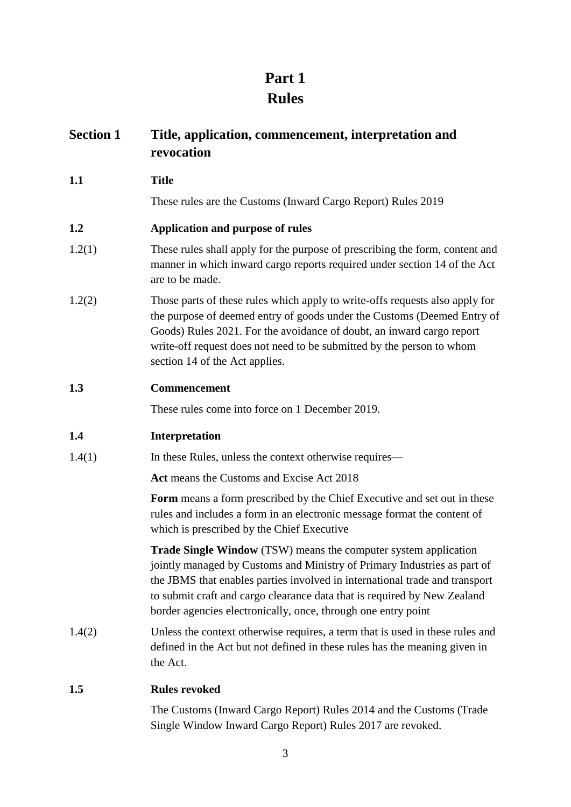# **Part 1 Rules**

| <b>Section 1</b> | Title, application, commencement, interpretation and<br>revocation                                                                                                                                                                                                                                                                                                      |  |  |
|------------------|-------------------------------------------------------------------------------------------------------------------------------------------------------------------------------------------------------------------------------------------------------------------------------------------------------------------------------------------------------------------------|--|--|
| 1.1              | <b>Title</b>                                                                                                                                                                                                                                                                                                                                                            |  |  |
|                  | These rules are the Customs (Inward Cargo Report) Rules 2019                                                                                                                                                                                                                                                                                                            |  |  |
| 1.2              | Application and purpose of rules                                                                                                                                                                                                                                                                                                                                        |  |  |
| 1.2(1)           | These rules shall apply for the purpose of prescribing the form, content and<br>manner in which inward cargo reports required under section 14 of the Act<br>are to be made.                                                                                                                                                                                            |  |  |
| 1.2(2)           | Those parts of these rules which apply to write-offs requests also apply for<br>the purpose of deemed entry of goods under the Customs (Deemed Entry of<br>Goods) Rules 2021. For the avoidance of doubt, an inward cargo report<br>write-off request does not need to be submitted by the person to whom<br>section 14 of the Act applies.                             |  |  |
| 1.3              | Commencement                                                                                                                                                                                                                                                                                                                                                            |  |  |
|                  | These rules come into force on 1 December 2019.                                                                                                                                                                                                                                                                                                                         |  |  |
| 1.4              | Interpretation                                                                                                                                                                                                                                                                                                                                                          |  |  |
| 1.4(1)           | In these Rules, unless the context otherwise requires—                                                                                                                                                                                                                                                                                                                  |  |  |
|                  | Act means the Customs and Excise Act 2018                                                                                                                                                                                                                                                                                                                               |  |  |
|                  | Form means a form prescribed by the Chief Executive and set out in these<br>rules and includes a form in an electronic message format the content of<br>which is prescribed by the Chief Executive                                                                                                                                                                      |  |  |
|                  | Trade Single Window (TSW) means the computer system application<br>jointly managed by Customs and Ministry of Primary Industries as part of<br>the JBMS that enables parties involved in international trade and transport<br>to submit craft and cargo clearance data that is required by New Zealand<br>border agencies electronically, once, through one entry point |  |  |
| 1.4(2)           | Unless the context otherwise requires, a term that is used in these rules and<br>defined in the Act but not defined in these rules has the meaning given in<br>the Act.                                                                                                                                                                                                 |  |  |
| 1.5              | <b>Rules revoked</b>                                                                                                                                                                                                                                                                                                                                                    |  |  |
|                  | The Customs (Inward Cargo Report) Rules 2014 and the Customs (Trade<br>Single Window Inward Cargo Report) Rules 2017 are revoked.                                                                                                                                                                                                                                       |  |  |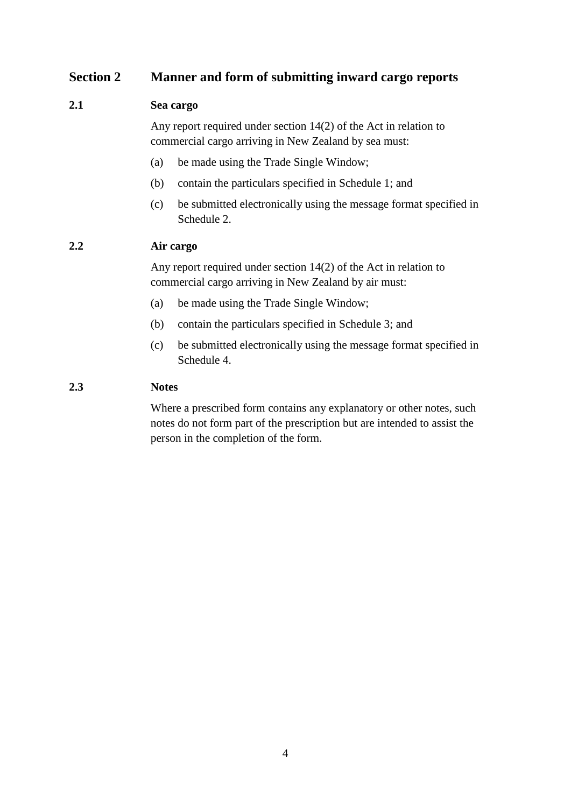# **Section 2 Manner and form of submitting inward cargo reports**

# **2.1 Sea cargo**

Any report required under section 14(2) of the Act in relation to commercial cargo arriving in New Zealand by sea must:

- (a) be made using the Trade Single Window;
- (b) contain the particulars specified in Schedule 1; and
- (c) be submitted electronically using the message format specified in Schedule 2.

# **2.2 Air cargo**

Any report required under section 14(2) of the Act in relation to commercial cargo arriving in New Zealand by air must:

- (a) be made using the Trade Single Window;
- (b) contain the particulars specified in Schedule 3; and
- (c) be submitted electronically using the message format specified in Schedule 4.

# **2.3 Notes**

Where a prescribed form contains any explanatory or other notes, such notes do not form part of the prescription but are intended to assist the person in the completion of the form.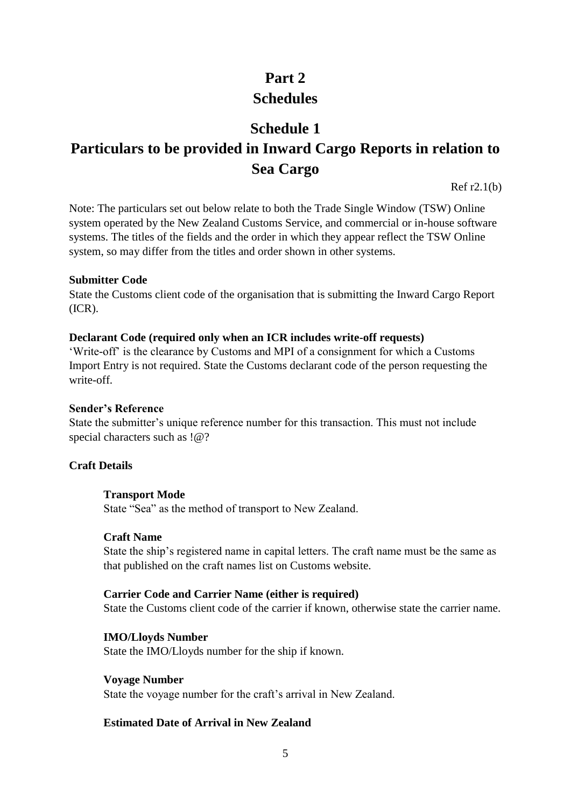# **Part 2 Schedules**

# **Schedule 1**

# **Particulars to be provided in Inward Cargo Reports in relation to Sea Cargo**

Ref r2.1(b)

Note: The particulars set out below relate to both the Trade Single Window (TSW) Online system operated by the New Zealand Customs Service, and commercial or in-house software systems. The titles of the fields and the order in which they appear reflect the TSW Online system, so may differ from the titles and order shown in other systems.

# **Submitter Code**

State the Customs client code of the organisation that is submitting the Inward Cargo Report (ICR).

# **Declarant Code (required only when an ICR includes write-off requests)**

'Write-off' is the clearance by Customs and MPI of a consignment for which a Customs Import Entry is not required. State the Customs declarant code of the person requesting the write-off.

# **Sender's Reference**

State the submitter's unique reference number for this transaction. This must not include special characters such as !@?

# **Craft Details**

# **Transport Mode**

State "Sea" as the method of transport to New Zealand.

#### **Craft Name**

State the ship's registered name in capital letters. The craft name must be the same as that published on the craft names list on Customs website.

# **Carrier Code and Carrier Name (either is required)**

State the Customs client code of the carrier if known, otherwise state the carrier name.

# **IMO/Lloyds Number**

State the IMO/Lloyds number for the ship if known.

#### **Voyage Number**

State the voyage number for the craft's arrival in New Zealand.

# **Estimated Date of Arrival in New Zealand**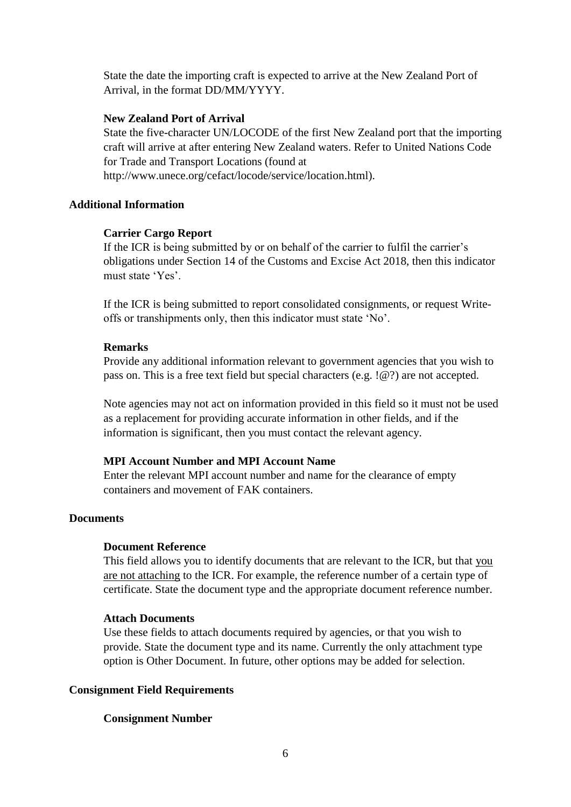State the date the importing craft is expected to arrive at the New Zealand Port of Arrival, in the format DD/MM/YYYY.

#### **New Zealand Port of Arrival**

State the five-character UN/LOCODE of the first New Zealand port that the importing craft will arrive at after entering New Zealand waters. Refer to United Nations Code for Trade and Transport Locations (found at http://www.unece.org/cefact/locode/service/location.html).

#### **Additional Information**

#### **Carrier Cargo Report**

If the ICR is being submitted by or on behalf of the carrier to fulfil the carrier's obligations under Section 14 of the Customs and Excise Act 2018, then this indicator must state 'Yes'.

If the ICR is being submitted to report consolidated consignments, or request Writeoffs or transhipments only, then this indicator must state 'No'.

#### **Remarks**

Provide any additional information relevant to government agencies that you wish to pass on. This is a free text field but special characters (e.g. !@?) are not accepted.

Note agencies may not act on information provided in this field so it must not be used as a replacement for providing accurate information in other fields, and if the information is significant, then you must contact the relevant agency.

#### **MPI Account Number and MPI Account Name**

Enter the relevant MPI account number and name for the clearance of empty containers and movement of FAK containers.

# **Documents**

#### **Document Reference**

This field allows you to identify documents that are relevant to the ICR, but that you are not attaching to the ICR. For example, the reference number of a certain type of certificate. State the document type and the appropriate document reference number.

#### **Attach Documents**

Use these fields to attach documents required by agencies, or that you wish to provide. State the document type and its name. Currently the only attachment type option is Other Document. In future, other options may be added for selection.

#### **Consignment Field Requirements**

#### **Consignment Number**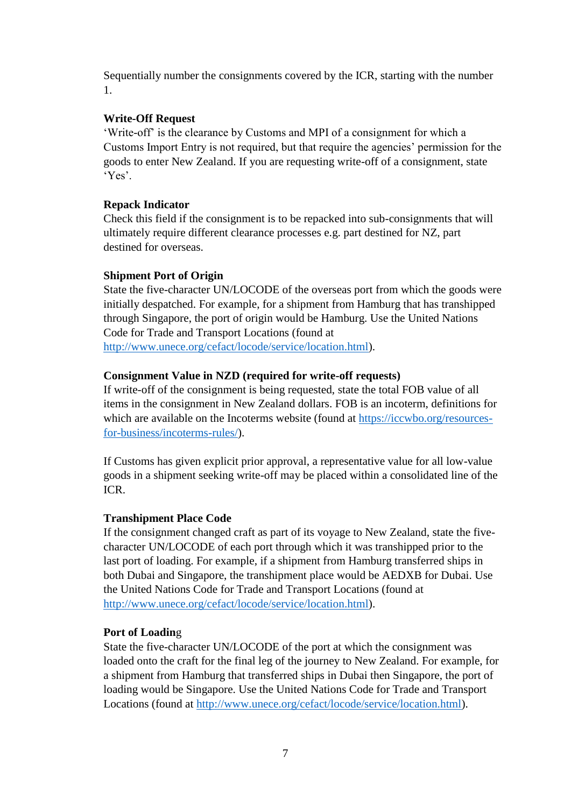Sequentially number the consignments covered by the ICR, starting with the number 1.

# **Write-Off Request**

'Write-off' is the clearance by Customs and MPI of a consignment for which a Customs Import Entry is not required, but that require the agencies' permission for the goods to enter New Zealand. If you are requesting write-off of a consignment, state 'Yes'.

# **Repack Indicator**

Check this field if the consignment is to be repacked into sub-consignments that will ultimately require different clearance processes e.g. part destined for NZ, part destined for overseas.

# **Shipment Port of Origin**

State the five-character UN/LOCODE of the overseas port from which the goods were initially despatched. For example, for a shipment from Hamburg that has transhipped through Singapore, the port of origin would be Hamburg. Use the United Nations Code for Trade and Transport Locations (found at [http://www.unece.org/cefact/locode/service/location.html\)](http://www.unece.org/cefact/locode/service/location.html).

# **Consignment Value in NZD (required for write-off requests)**

If write-off of the consignment is being requested, state the total FOB value of all items in the consignment in New Zealand dollars. FOB is an incoterm, definitions for which are available on the Incoterms website (found at [https://iccwbo.org/resources](https://iccwbo.org/resources-for-business/incoterms-rules/)[for-business/incoterms-rules/\)](https://iccwbo.org/resources-for-business/incoterms-rules/).

If Customs has given explicit prior approval, a representative value for all low-value goods in a shipment seeking write-off may be placed within a consolidated line of the ICR.

#### **Transhipment Place Code**

If the consignment changed craft as part of its voyage to New Zealand, state the fivecharacter UN/LOCODE of each port through which it was transhipped prior to the last port of loading. For example, if a shipment from Hamburg transferred ships in both Dubai and Singapore, the transhipment place would be AEDXB for Dubai. Use the United Nations Code for Trade and Transport Locations (found at [http://www.unece.org/cefact/locode/service/location.html\)](http://www.unece.org/cefact/locode/service/location.html).

#### **Port of Loadin**g

State the five-character UN/LOCODE of the port at which the consignment was loaded onto the craft for the final leg of the journey to New Zealand. For example, for a shipment from Hamburg that transferred ships in Dubai then Singapore, the port of loading would be Singapore. Use the United Nations Code for Trade and Transport Locations (found at [http://www.unece.org/cefact/locode/service/location.html\)](http://www.unece.org/cefact/locode/service/location.html).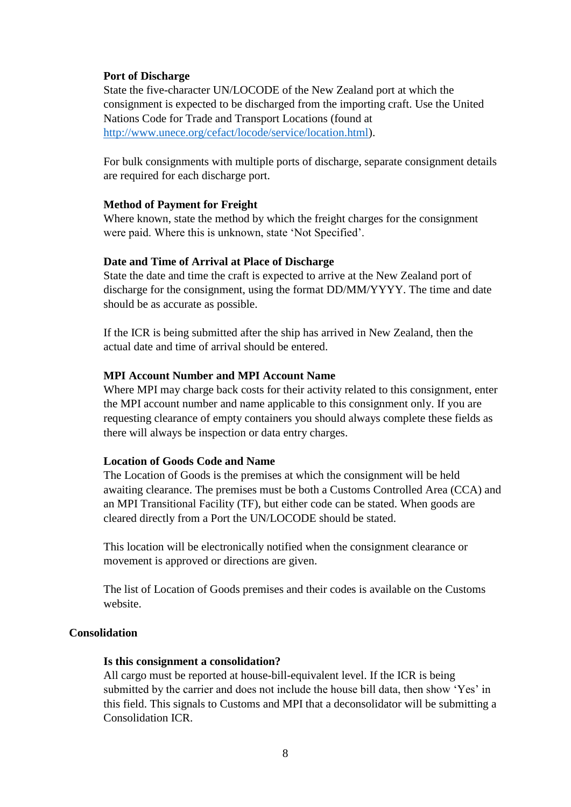#### **Port of Discharge**

State the five-character UN/LOCODE of the New Zealand port at which the consignment is expected to be discharged from the importing craft. Use the United Nations Code for Trade and Transport Locations (found at [http://www.unece.org/cefact/locode/service/location.html\)](http://www.unece.org/cefact/locode/service/location.html).

For bulk consignments with multiple ports of discharge, separate consignment details are required for each discharge port.

#### **Method of Payment for Freight**

Where known, state the method by which the freight charges for the consignment were paid. Where this is unknown, state 'Not Specified'.

#### **Date and Time of Arrival at Place of Discharge**

State the date and time the craft is expected to arrive at the New Zealand port of discharge for the consignment, using the format DD/MM/YYYY. The time and date should be as accurate as possible.

If the ICR is being submitted after the ship has arrived in New Zealand, then the actual date and time of arrival should be entered.

#### **MPI Account Number and MPI Account Name**

Where MPI may charge back costs for their activity related to this consignment, enter the MPI account number and name applicable to this consignment only. If you are requesting clearance of empty containers you should always complete these fields as there will always be inspection or data entry charges.

#### **Location of Goods Code and Name**

The Location of Goods is the premises at which the consignment will be held awaiting clearance. The premises must be both a Customs Controlled Area (CCA) and an MPI Transitional Facility (TF), but either code can be stated. When goods are cleared directly from a Port the UN/LOCODE should be stated.

This location will be electronically notified when the consignment clearance or movement is approved or directions are given.

The list of Location of Goods premises and their codes is available on the Customs website.

#### **Consolidation**

#### **Is this consignment a consolidation?**

All cargo must be reported at house-bill-equivalent level. If the ICR is being submitted by the carrier and does not include the house bill data, then show 'Yes' in this field. This signals to Customs and MPI that a deconsolidator will be submitting a Consolidation ICR.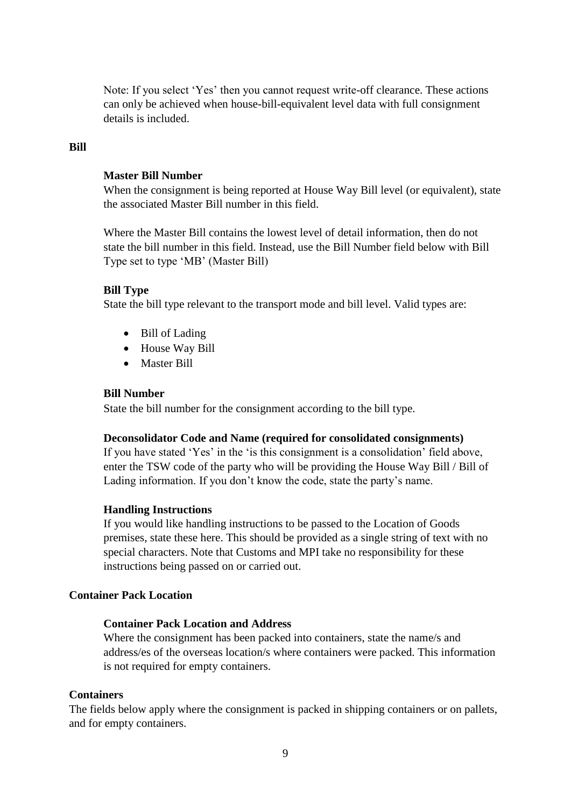Note: If you select 'Yes' then you cannot request write-off clearance. These actions can only be achieved when house-bill-equivalent level data with full consignment details is included.

### **Bill**

#### **Master Bill Number**

When the consignment is being reported at House Way Bill level (or equivalent), state the associated Master Bill number in this field.

Where the Master Bill contains the lowest level of detail information, then do not state the bill number in this field. Instead, use the Bill Number field below with Bill Type set to type 'MB' (Master Bill)

# **Bill Type**

State the bill type relevant to the transport mode and bill level. Valid types are:

- Bill of Lading
- House Way Bill
- **•** Master Bill

#### **Bill Number**

State the bill number for the consignment according to the bill type.

#### **Deconsolidator Code and Name (required for consolidated consignments)**

If you have stated 'Yes' in the 'is this consignment is a consolidation' field above, enter the TSW code of the party who will be providing the House Way Bill / Bill of Lading information. If you don't know the code, state the party's name.

#### **Handling Instructions**

If you would like handling instructions to be passed to the Location of Goods premises, state these here. This should be provided as a single string of text with no special characters. Note that Customs and MPI take no responsibility for these instructions being passed on or carried out.

### **Container Pack Location**

# **Container Pack Location and Address**

Where the consignment has been packed into containers, state the name/s and address/es of the overseas location/s where containers were packed. This information is not required for empty containers.

#### **Containers**

The fields below apply where the consignment is packed in shipping containers or on pallets, and for empty containers.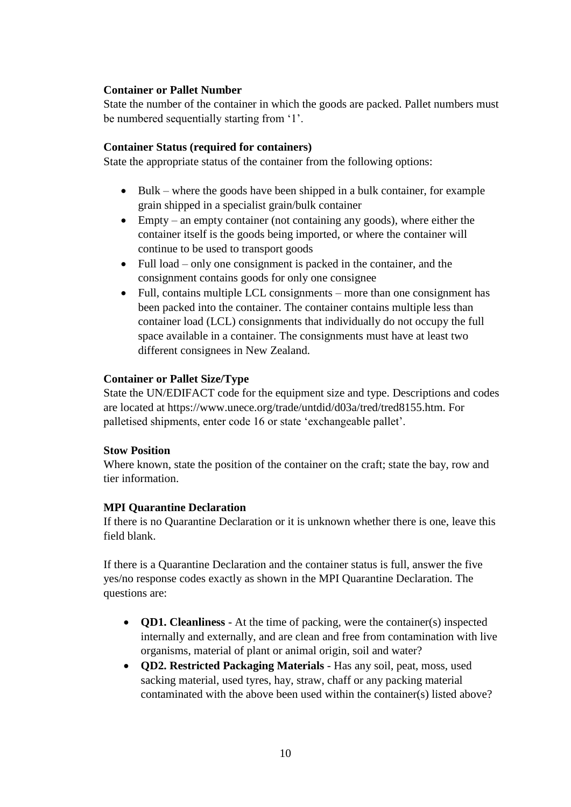# **Container or Pallet Number**

State the number of the container in which the goods are packed. Pallet numbers must be numbered sequentially starting from '1'.

# **Container Status (required for containers)**

State the appropriate status of the container from the following options:

- Bulk where the goods have been shipped in a bulk container, for example grain shipped in a specialist grain/bulk container
- $\bullet$  Empty an empty container (not containing any goods), where either the container itself is the goods being imported, or where the container will continue to be used to transport goods
- Full load only one consignment is packed in the container, and the consignment contains goods for only one consignee
- Full, contains multiple LCL consignments more than one consignment has been packed into the container. The container contains multiple less than container load (LCL) consignments that individually do not occupy the full space available in a container. The consignments must have at least two different consignees in New Zealand.

# **Container or Pallet Size/Type**

State the UN/EDIFACT code for the equipment size and type. Descriptions and codes are located at https://www.unece.org/trade/untdid/d03a/tred/tred8155.htm. For palletised shipments, enter code 16 or state 'exchangeable pallet'.

#### **Stow Position**

Where known, state the position of the container on the craft; state the bay, row and tier information.

#### **MPI Quarantine Declaration**

If there is no Quarantine Declaration or it is unknown whether there is one, leave this field blank.

If there is a Quarantine Declaration and the container status is full, answer the five yes/no response codes exactly as shown in the MPI Quarantine Declaration. The questions are:

- **QD1. Cleanliness** At the time of packing, were the container(s) inspected internally and externally, and are clean and free from contamination with live organisms, material of plant or animal origin, soil and water?
- **QD2. Restricted Packaging Materials** Has any soil, peat, moss, used sacking material, used tyres, hay, straw, chaff or any packing material contaminated with the above been used within the container(s) listed above?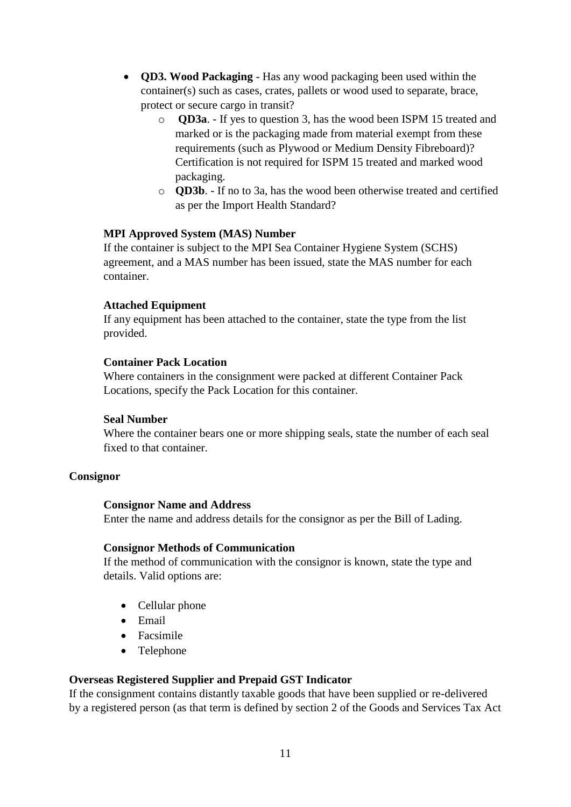- **QD3. Wood Packaging** Has any wood packaging been used within the container(s) such as cases, crates, pallets or wood used to separate, brace, protect or secure cargo in transit?
	- o **QD3a**. If yes to question 3, has the wood been ISPM 15 treated and marked or is the packaging made from material exempt from these requirements (such as Plywood or Medium Density Fibreboard)? Certification is not required for ISPM 15 treated and marked wood packaging.
	- o **QD3b**. If no to 3a, has the wood been otherwise treated and certified as per the Import Health Standard?

#### **MPI Approved System (MAS) Number**

If the container is subject to the MPI Sea Container Hygiene System (SCHS) agreement, and a MAS number has been issued, state the MAS number for each container.

#### **Attached Equipment**

If any equipment has been attached to the container, state the type from the list provided.

# **Container Pack Location**

Where containers in the consignment were packed at different Container Pack Locations, specify the Pack Location for this container.

#### **Seal Number**

Where the container bears one or more shipping seals, state the number of each seal fixed to that container.

#### **Consignor**

#### **Consignor Name and Address**

Enter the name and address details for the consignor as per the Bill of Lading.

#### **Consignor Methods of Communication**

If the method of communication with the consignor is known, state the type and details. Valid options are:

- Cellular phone
- Email
- Facsimile
- Telephone

# **Overseas Registered Supplier and Prepaid GST Indicator**

If the consignment contains distantly taxable goods that have been supplied or re-delivered by a registered person (as that term is defined by section 2 of the Goods and Services Tax Act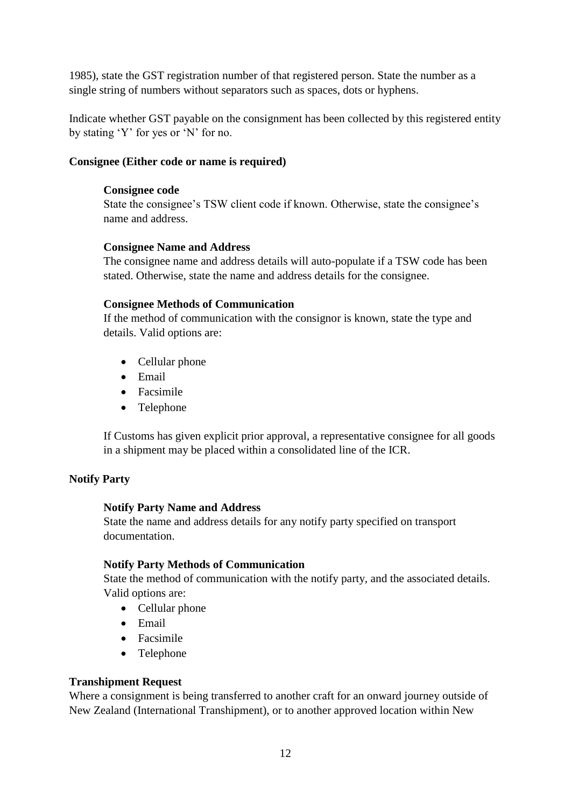1985), state the GST registration number of that registered person. State the number as a single string of numbers without separators such as spaces, dots or hyphens.

Indicate whether GST payable on the consignment has been collected by this registered entity by stating 'Y' for yes or 'N' for no.

# **Consignee (Either code or name is required)**

#### **Consignee code**

State the consignee's TSW client code if known. Otherwise, state the consignee's name and address.

# **Consignee Name and Address**

The consignee name and address details will auto-populate if a TSW code has been stated. Otherwise, state the name and address details for the consignee.

#### **Consignee Methods of Communication**

If the method of communication with the consignor is known, state the type and details. Valid options are:

- Cellular phone
- Email
- Facsimile
- Telephone

If Customs has given explicit prior approval, a representative consignee for all goods in a shipment may be placed within a consolidated line of the ICR.

#### **Notify Party**

#### **Notify Party Name and Address**

State the name and address details for any notify party specified on transport documentation.

#### **Notify Party Methods of Communication**

State the method of communication with the notify party, and the associated details. Valid options are:

- Cellular phone
- Email
- Facsimile
- Telephone

#### **Transhipment Request**

Where a consignment is being transferred to another craft for an onward journey outside of New Zealand (International Transhipment), or to another approved location within New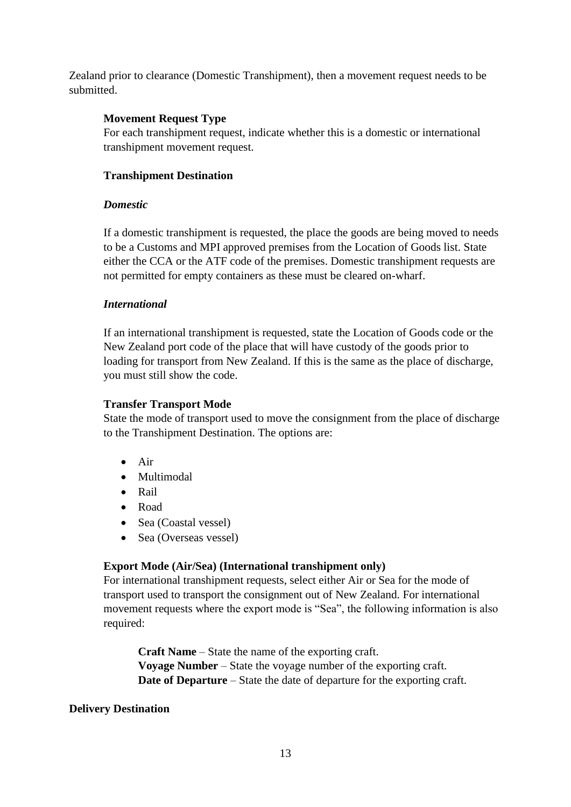Zealand prior to clearance (Domestic Transhipment), then a movement request needs to be submitted.

# **Movement Request Type**

For each transhipment request, indicate whether this is a domestic or international transhipment movement request.

# **Transhipment Destination**

#### *Domestic*

If a domestic transhipment is requested, the place the goods are being moved to needs to be a Customs and MPI approved premises from the Location of Goods list. State either the CCA or the ATF code of the premises. Domestic transhipment requests are not permitted for empty containers as these must be cleared on-wharf.

#### *International*

If an international transhipment is requested, state the Location of Goods code or the New Zealand port code of the place that will have custody of the goods prior to loading for transport from New Zealand. If this is the same as the place of discharge, you must still show the code.

#### **Transfer Transport Mode**

State the mode of transport used to move the consignment from the place of discharge to the Transhipment Destination. The options are:

- $\bullet$  Air
- Multimodal
- Rail
- Road
- Sea (Coastal vessel)
- Sea (Overseas vessel)

# **Export Mode (Air/Sea) (International transhipment only)**

For international transhipment requests, select either Air or Sea for the mode of transport used to transport the consignment out of New Zealand. For international movement requests where the export mode is "Sea", the following information is also required:

**Craft Name** – State the name of the exporting craft. **Voyage Number** – State the voyage number of the exporting craft. **Date of Departure** – State the date of departure for the exporting craft.

#### **Delivery Destination**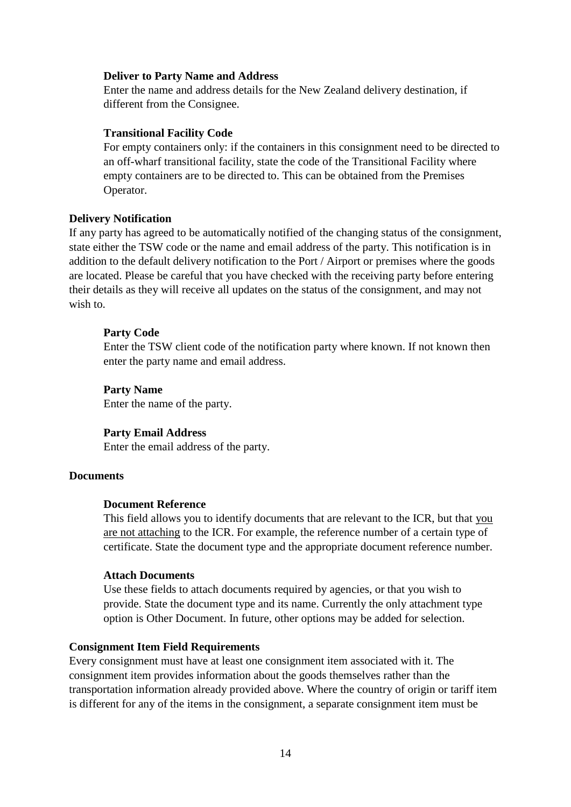#### **Deliver to Party Name and Address**

Enter the name and address details for the New Zealand delivery destination, if different from the Consignee.

#### **Transitional Facility Code**

For empty containers only: if the containers in this consignment need to be directed to an off-wharf transitional facility, state the code of the Transitional Facility where empty containers are to be directed to. This can be obtained from the Premises Operator.

#### **Delivery Notification**

If any party has agreed to be automatically notified of the changing status of the consignment, state either the TSW code or the name and email address of the party. This notification is in addition to the default delivery notification to the Port / Airport or premises where the goods are located. Please be careful that you have checked with the receiving party before entering their details as they will receive all updates on the status of the consignment, and may not wish to.

#### **Party Code**

Enter the TSW client code of the notification party where known. If not known then enter the party name and email address.

#### **Party Name**

Enter the name of the party.

#### **Party Email Address**

Enter the email address of the party.

#### **Documents**

#### **Document Reference**

This field allows you to identify documents that are relevant to the ICR, but that you are not attaching to the ICR. For example, the reference number of a certain type of certificate. State the document type and the appropriate document reference number.

#### **Attach Documents**

Use these fields to attach documents required by agencies, or that you wish to provide. State the document type and its name. Currently the only attachment type option is Other Document. In future, other options may be added for selection.

#### **Consignment Item Field Requirements**

Every consignment must have at least one consignment item associated with it. The consignment item provides information about the goods themselves rather than the transportation information already provided above. Where the country of origin or tariff item is different for any of the items in the consignment, a separate consignment item must be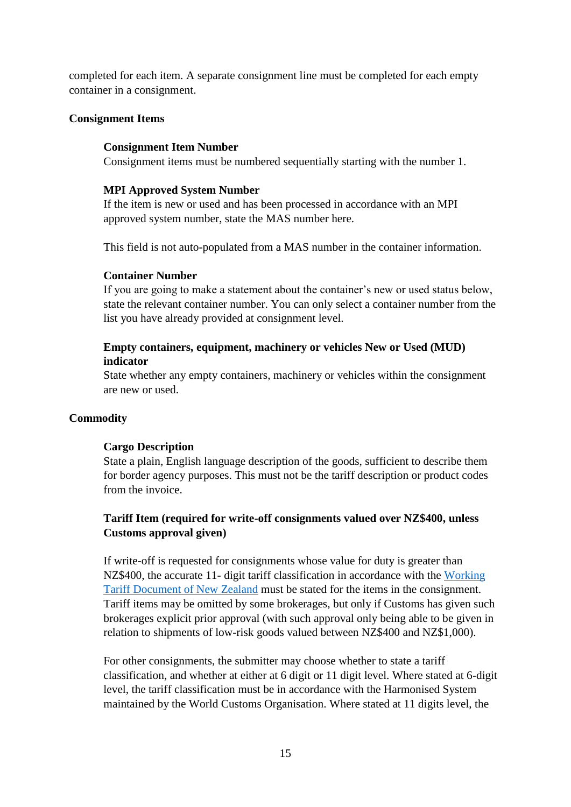completed for each item. A separate consignment line must be completed for each empty container in a consignment.

#### **Consignment Items**

#### **Consignment Item Number**

Consignment items must be numbered sequentially starting with the number 1.

#### **MPI Approved System Number**

If the item is new or used and has been processed in accordance with an MPI approved system number, state the MAS number here.

This field is not auto-populated from a MAS number in the container information.

#### **Container Number**

If you are going to make a statement about the container's new or used status below, state the relevant container number. You can only select a container number from the list you have already provided at consignment level.

# **Empty containers, equipment, machinery or vehicles New or Used (MUD) indicator**

State whether any empty containers, machinery or vehicles within the consignment are new or used.

#### **Commodity**

#### **Cargo Description**

State a plain, English language description of the goods, sufficient to describe them for border agency purposes. This must not be the tariff description or product codes from the invoice.

# **Tariff Item (required for write-off consignments valued over NZ\$400, unless Customs approval given)**

If write-off is requested for consignments whose value for duty is greater than NZ\$400, the accurate 11- digit tariff classification in accordance with the [Working](https://www.customs.govt.nz/business/tariffs/working-tariff-document/)  [Tariff Document of New Zealand](https://www.customs.govt.nz/business/tariffs/working-tariff-document/) must be stated for the items in the consignment. Tariff items may be omitted by some brokerages, but only if Customs has given such brokerages explicit prior approval (with such approval only being able to be given in relation to shipments of low-risk goods valued between NZ\$400 and NZ\$1,000).

For other consignments, the submitter may choose whether to state a tariff classification, and whether at either at 6 digit or 11 digit level. Where stated at 6-digit level, the tariff classification must be in accordance with the Harmonised System maintained by the World Customs Organisation. Where stated at 11 digits level, the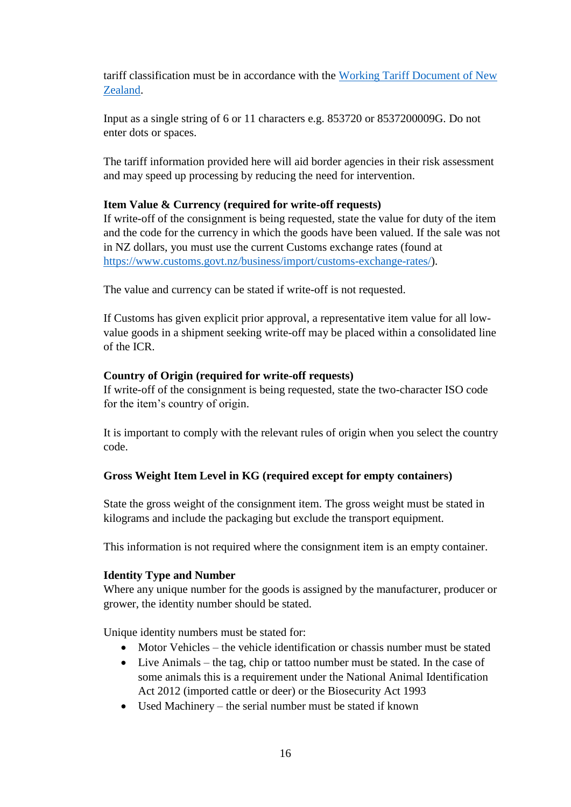tariff classification must be in accordance with the [Working Tariff Document of New](https://www.customs.govt.nz/business/tariffs/working-tariff-document/)  [Zealand.](https://www.customs.govt.nz/business/tariffs/working-tariff-document/)

Input as a single string of 6 or 11 characters e.g. 853720 or 8537200009G. Do not enter dots or spaces.

The tariff information provided here will aid border agencies in their risk assessment and may speed up processing by reducing the need for intervention.

# **Item Value & Currency (required for write-off requests)**

If write-off of the consignment is being requested, state the value for duty of the item and the code for the currency in which the goods have been valued. If the sale was not in NZ dollars, you must use the current Customs exchange rates (found at [https://www.customs.govt.nz/business/import/customs-exchange-rates/\)](https://www.customs.govt.nz/business/import/customs-exchange-rates/).

The value and currency can be stated if write-off is not requested.

If Customs has given explicit prior approval, a representative item value for all lowvalue goods in a shipment seeking write-off may be placed within a consolidated line of the ICR.

# **Country of Origin (required for write-off requests)**

If write-off of the consignment is being requested, state the two-character ISO code for the item's country of origin.

It is important to comply with the relevant rules of origin when you select the country code.

# **Gross Weight Item Level in KG (required except for empty containers)**

State the gross weight of the consignment item. The gross weight must be stated in kilograms and include the packaging but exclude the transport equipment.

This information is not required where the consignment item is an empty container.

# **Identity Type and Number**

Where any unique number for the goods is assigned by the manufacturer, producer or grower, the identity number should be stated.

Unique identity numbers must be stated for:

- $\bullet$  Motor Vehicles the vehicle identification or chassis number must be stated
- Live Animals the tag, chip or tattoo number must be stated. In the case of some animals this is a requirement under the National Animal Identification Act 2012 (imported cattle or deer) or the Biosecurity Act 1993
- Used Machinery the serial number must be stated if known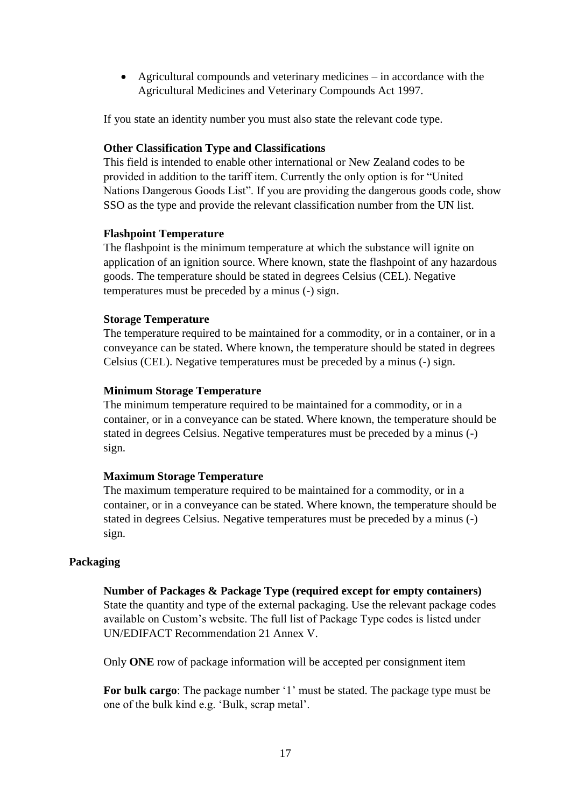Agricultural compounds and veterinary medicines – in accordance with the Agricultural Medicines and Veterinary Compounds Act 1997.

If you state an identity number you must also state the relevant code type.

#### **Other Classification Type and Classifications**

This field is intended to enable other international or New Zealand codes to be provided in addition to the tariff item. Currently the only option is for "United Nations Dangerous Goods List". If you are providing the dangerous goods code, show SSO as the type and provide the relevant classification number from the UN list.

#### **Flashpoint Temperature**

The flashpoint is the minimum temperature at which the substance will ignite on application of an ignition source. Where known, state the flashpoint of any hazardous goods. The temperature should be stated in degrees Celsius (CEL). Negative temperatures must be preceded by a minus (-) sign.

#### **Storage Temperature**

The temperature required to be maintained for a commodity, or in a container, or in a conveyance can be stated. Where known, the temperature should be stated in degrees Celsius (CEL). Negative temperatures must be preceded by a minus (-) sign.

#### **Minimum Storage Temperature**

The minimum temperature required to be maintained for a commodity, or in a container, or in a conveyance can be stated. Where known, the temperature should be stated in degrees Celsius. Negative temperatures must be preceded by a minus (-) sign.

#### **Maximum Storage Temperature**

The maximum temperature required to be maintained for a commodity, or in a container, or in a conveyance can be stated. Where known, the temperature should be stated in degrees Celsius. Negative temperatures must be preceded by a minus (-) sign.

#### **Packaging**

#### **Number of Packages & Package Type (required except for empty containers)**

State the quantity and type of the external packaging. Use the relevant package codes available on Custom's website. The full list of Package Type codes is listed under UN/EDIFACT Recommendation 21 Annex V.

Only **ONE** row of package information will be accepted per consignment item

**For bulk cargo**: The package number '1' must be stated. The package type must be one of the bulk kind e.g. 'Bulk, scrap metal'.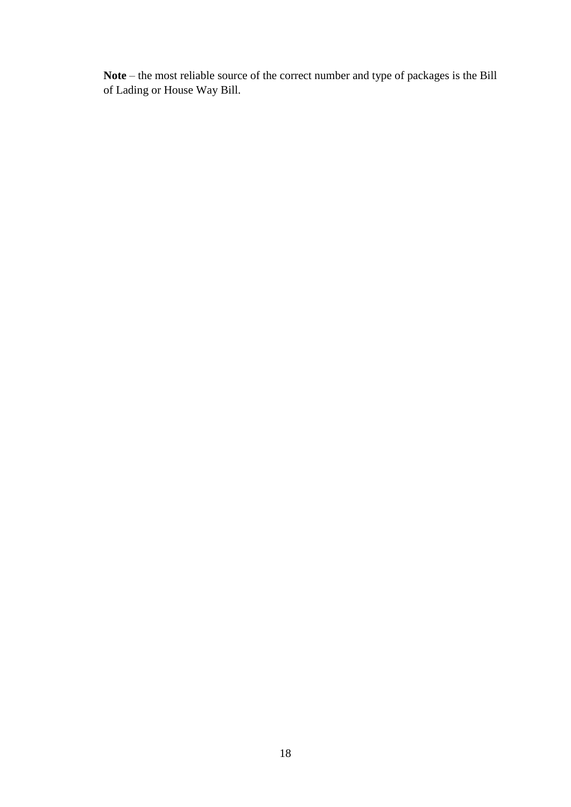**Note** – the most reliable source of the correct number and type of packages is the Bill of Lading or House Way Bill.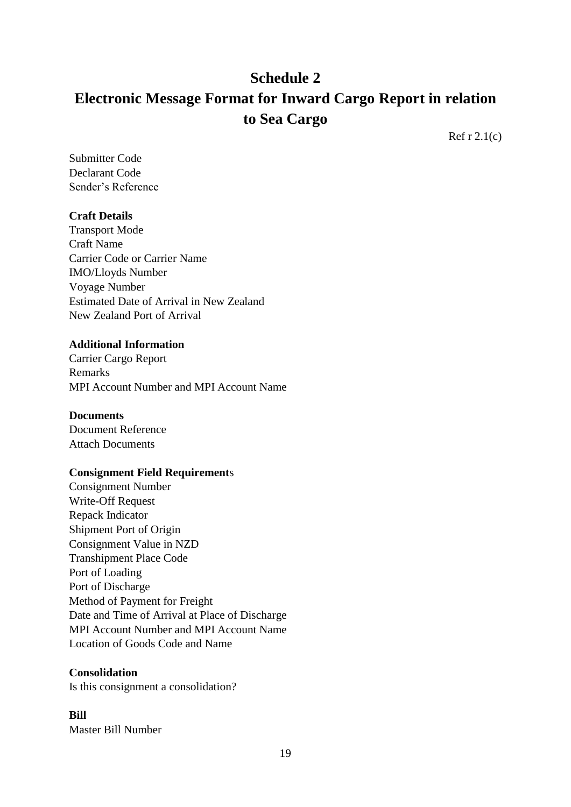# **Schedule 2 Electronic Message Format for Inward Cargo Report in relation to Sea Cargo**

Ref  $r$  2.1(c)

Submitter Code Declarant Code Sender's Reference

# **Craft Details**

Transport Mode Craft Name Carrier Code or Carrier Name IMO/Lloyds Number Voyage Number Estimated Date of Arrival in New Zealand New Zealand Port of Arrival

# **Additional Information**

Carrier Cargo Report Remarks MPI Account Number and MPI Account Name

#### **Documents**

Document Reference Attach Documents

# **Consignment Field Requirement**s

Consignment Number Write-Off Request Repack Indicator Shipment Port of Origin Consignment Value in NZD Transhipment Place Code Port of Loading Port of Discharge Method of Payment for Freight Date and Time of Arrival at Place of Discharge MPI Account Number and MPI Account Name Location of Goods Code and Name

#### **Consolidation**

Is this consignment a consolidation?

# **Bill**

Master Bill Number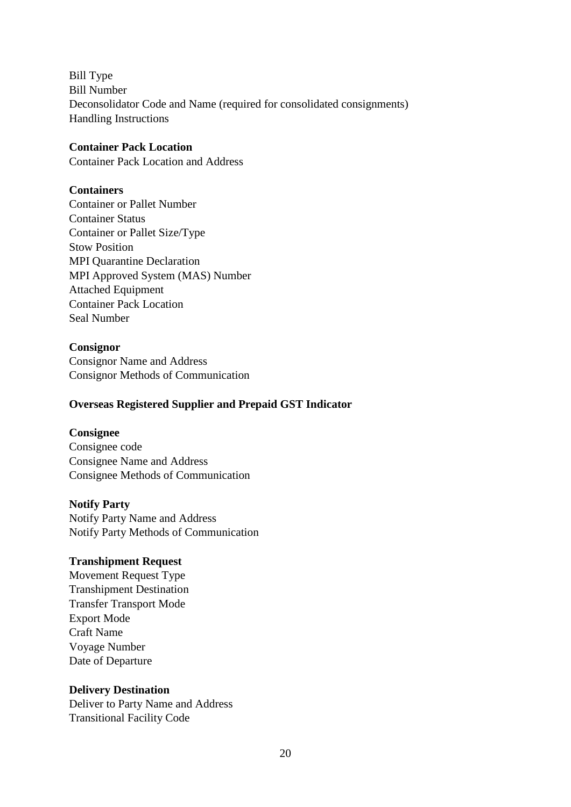Bill Type Bill Number Deconsolidator Code and Name (required for consolidated consignments) Handling Instructions

#### **Container Pack Location**

Container Pack Location and Address

#### **Containers**

Container or Pallet Number Container Status Container or Pallet Size/Type Stow Position MPI Quarantine Declaration MPI Approved System (MAS) Number Attached Equipment Container Pack Location Seal Number

# **Consignor**

Consignor Name and Address Consignor Methods of Communication

### **Overseas Registered Supplier and Prepaid GST Indicator**

#### **Consignee**

Consignee code Consignee Name and Address Consignee Methods of Communication

#### **Notify Party**

Notify Party Name and Address Notify Party Methods of Communication

#### **Transhipment Request**

Movement Request Type Transhipment Destination Transfer Transport Mode Export Mode Craft Name Voyage Number Date of Departure

# **Delivery Destination**

Deliver to Party Name and Address Transitional Facility Code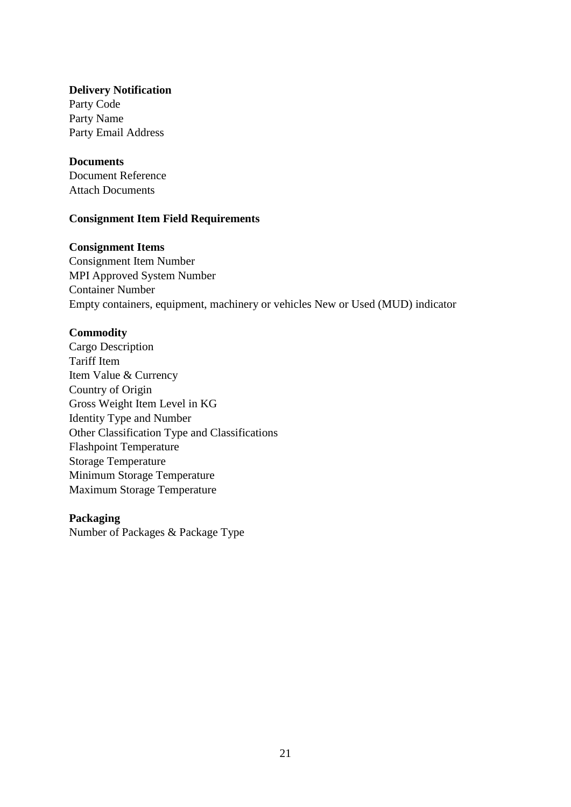#### **Delivery Notification**

Party Code Party Name Party Email Address

#### **Documents**

Document Reference Attach Documents

#### **Consignment Item Field Requirements**

### **Consignment Items**

Consignment Item Number MPI Approved System Number Container Number Empty containers, equipment, machinery or vehicles New or Used (MUD) indicator

#### **Commodity**

Cargo Description Tariff Item Item Value & Currency Country of Origin Gross Weight Item Level in KG Identity Type and Number Other Classification Type and Classifications Flashpoint Temperature Storage Temperature Minimum Storage Temperature Maximum Storage Temperature

#### **Packaging**

Number of Packages & Package Type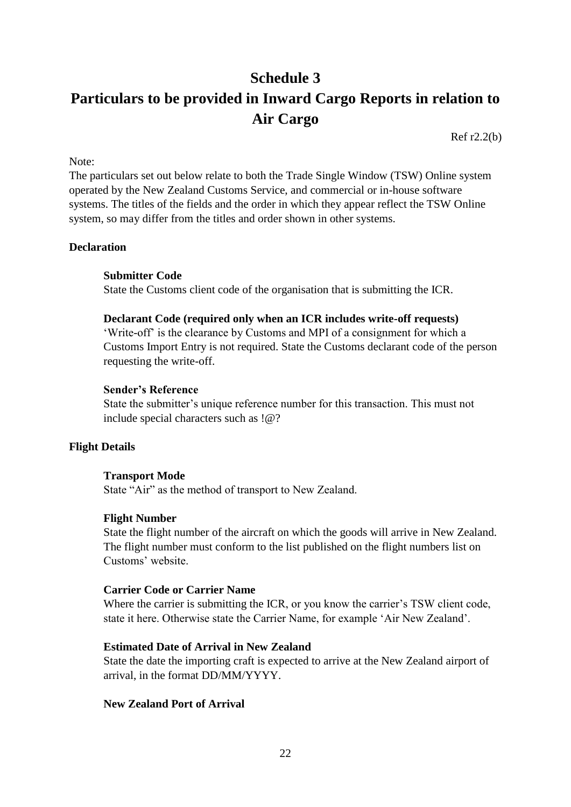# **Schedule 3 Particulars to be provided in Inward Cargo Reports in relation to Air Cargo**

Ref r2.2(b)

Note:

The particulars set out below relate to both the Trade Single Window (TSW) Online system operated by the New Zealand Customs Service, and commercial or in-house software systems. The titles of the fields and the order in which they appear reflect the TSW Online system, so may differ from the titles and order shown in other systems.

#### **Declaration**

#### **Submitter Code**

State the Customs client code of the organisation that is submitting the ICR.

#### **Declarant Code (required only when an ICR includes write-off requests)**

'Write-off' is the clearance by Customs and MPI of a consignment for which a Customs Import Entry is not required. State the Customs declarant code of the person requesting the write-off.

#### **Sender's Reference**

State the submitter's unique reference number for this transaction. This must not include special characters such as !@?

# **Flight Details**

#### **Transport Mode**

State "Air" as the method of transport to New Zealand.

#### **Flight Number**

State the flight number of the aircraft on which the goods will arrive in New Zealand. The flight number must conform to the list published on the flight numbers list on Customs' website.

#### **Carrier Code or Carrier Name**

Where the carrier is submitting the ICR, or you know the carrier's TSW client code, state it here. Otherwise state the Carrier Name, for example 'Air New Zealand'.

#### **Estimated Date of Arrival in New Zealand**

State the date the importing craft is expected to arrive at the New Zealand airport of arrival, in the format DD/MM/YYYY.

#### **New Zealand Port of Arrival**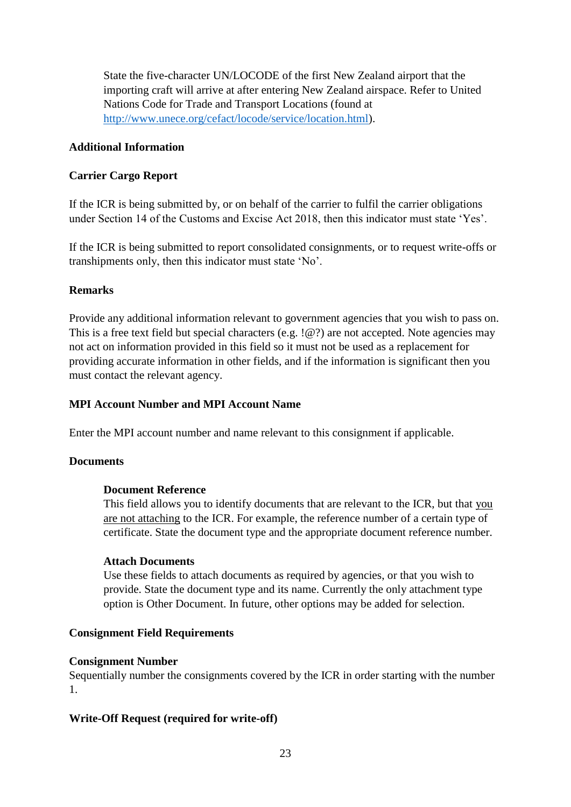State the five-character UN/LOCODE of the first New Zealand airport that the importing craft will arrive at after entering New Zealand airspace. Refer to United Nations Code for Trade and Transport Locations (found at [http://www.unece.org/cefact/locode/service/location.html\)](http://www.unece.org/cefact/locode/service/location.html).

# **Additional Information**

# **Carrier Cargo Report**

If the ICR is being submitted by, or on behalf of the carrier to fulfil the carrier obligations under Section 14 of the Customs and Excise Act 2018, then this indicator must state 'Yes'.

If the ICR is being submitted to report consolidated consignments, or to request write-offs or transhipments only, then this indicator must state 'No'.

# **Remarks**

Provide any additional information relevant to government agencies that you wish to pass on. This is a free text field but special characters (e.g. !@?) are not accepted. Note agencies may not act on information provided in this field so it must not be used as a replacement for providing accurate information in other fields, and if the information is significant then you must contact the relevant agency.

#### **MPI Account Number and MPI Account Name**

Enter the MPI account number and name relevant to this consignment if applicable.

#### **Documents**

#### **Document Reference**

This field allows you to identify documents that are relevant to the ICR, but that you are not attaching to the ICR. For example, the reference number of a certain type of certificate. State the document type and the appropriate document reference number.

#### **Attach Documents**

Use these fields to attach documents as required by agencies, or that you wish to provide. State the document type and its name. Currently the only attachment type option is Other Document. In future, other options may be added for selection.

#### **Consignment Field Requirements**

#### **Consignment Number**

Sequentially number the consignments covered by the ICR in order starting with the number 1.

# **Write-Off Request (required for write-off)**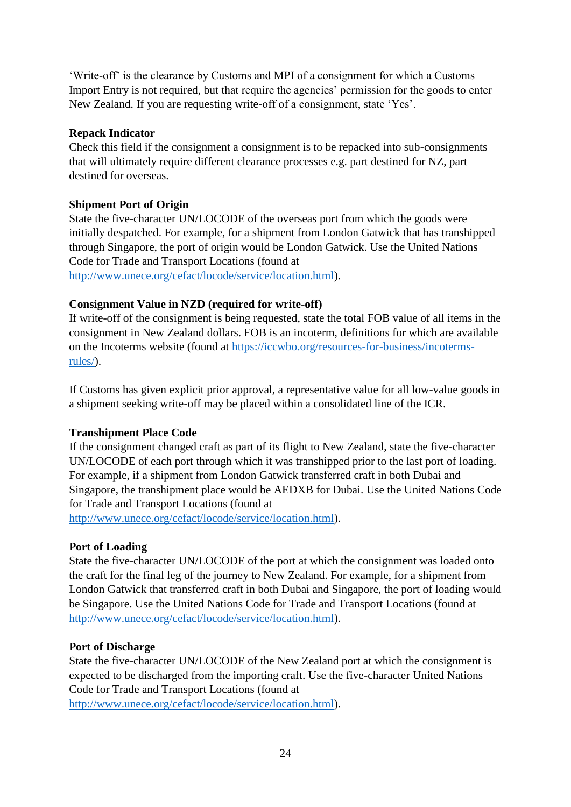'Write-off' is the clearance by Customs and MPI of a consignment for which a Customs Import Entry is not required, but that require the agencies' permission for the goods to enter New Zealand. If you are requesting write-off of a consignment, state 'Yes'.

# **Repack Indicator**

Check this field if the consignment a consignment is to be repacked into sub-consignments that will ultimately require different clearance processes e.g. part destined for NZ, part destined for overseas.

# **Shipment Port of Origin**

State the five-character UN/LOCODE of the overseas port from which the goods were initially despatched. For example, for a shipment from London Gatwick that has transhipped through Singapore, the port of origin would be London Gatwick. Use the United Nations Code for Trade and Transport Locations (found at [http://www.unece.org/cefact/locode/service/location.html\)](http://www.unece.org/cefact/locode/service/location.html).

# **Consignment Value in NZD (required for write-off)**

If write-off of the consignment is being requested, state the total FOB value of all items in the consignment in New Zealand dollars. FOB is an incoterm, definitions for which are available on the Incoterms website (found at [https://iccwbo.org/resources-for-business/incoterms](https://iccwbo.org/resources-for-business/incoterms-rules/)[rules/\)](https://iccwbo.org/resources-for-business/incoterms-rules/).

If Customs has given explicit prior approval, a representative value for all low-value goods in a shipment seeking write-off may be placed within a consolidated line of the ICR.

# **Transhipment Place Code**

If the consignment changed craft as part of its flight to New Zealand, state the five-character UN/LOCODE of each port through which it was transhipped prior to the last port of loading. For example, if a shipment from London Gatwick transferred craft in both Dubai and Singapore, the transhipment place would be AEDXB for Dubai. Use the United Nations Code for Trade and Transport Locations (found at

[http://www.unece.org/cefact/locode/service/location.html\)](http://www.unece.org/cefact/locode/service/location.html).

# **Port of Loading**

State the five-character UN/LOCODE of the port at which the consignment was loaded onto the craft for the final leg of the journey to New Zealand. For example, for a shipment from London Gatwick that transferred craft in both Dubai and Singapore, the port of loading would be Singapore. Use the United Nations Code for Trade and Transport Locations (found at [http://www.unece.org/cefact/locode/service/location.html\)](http://www.unece.org/cefact/locode/service/location.html).

# **Port of Discharge**

State the five-character UN/LOCODE of the New Zealand port at which the consignment is expected to be discharged from the importing craft. Use the five-character United Nations Code for Trade and Transport Locations (found at

[http://www.unece.org/cefact/locode/service/location.html\)](http://www.unece.org/cefact/locode/service/location.html).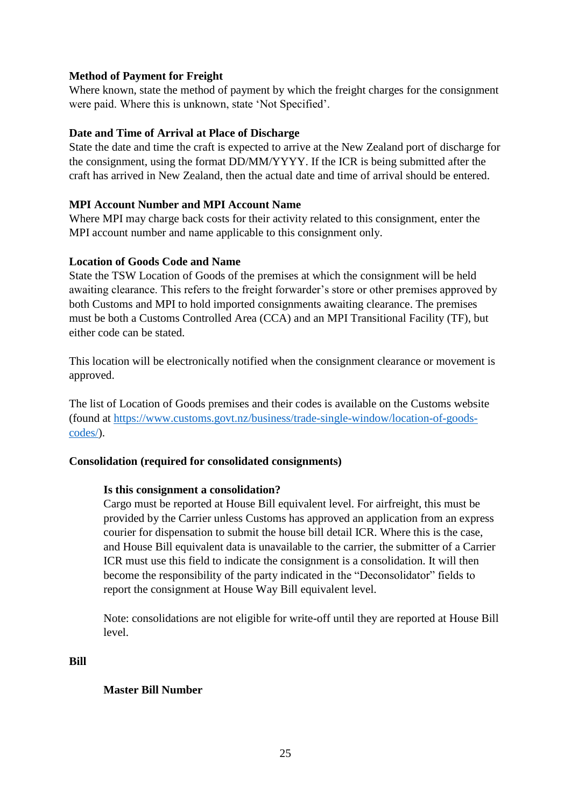# **Method of Payment for Freight**

Where known, state the method of payment by which the freight charges for the consignment were paid. Where this is unknown, state 'Not Specified'.

# **Date and Time of Arrival at Place of Discharge**

State the date and time the craft is expected to arrive at the New Zealand port of discharge for the consignment, using the format DD/MM/YYYY. If the ICR is being submitted after the craft has arrived in New Zealand, then the actual date and time of arrival should be entered.

# **MPI Account Number and MPI Account Name**

Where MPI may charge back costs for their activity related to this consignment, enter the MPI account number and name applicable to this consignment only.

# **Location of Goods Code and Name**

State the TSW Location of Goods of the premises at which the consignment will be held awaiting clearance. This refers to the freight forwarder's store or other premises approved by both Customs and MPI to hold imported consignments awaiting clearance. The premises must be both a Customs Controlled Area (CCA) and an MPI Transitional Facility (TF), but either code can be stated.

This location will be electronically notified when the consignment clearance or movement is approved.

The list of Location of Goods premises and their codes is available on the Customs website (found at [https://www.customs.govt.nz/business/trade-single-window/location-of-goods](https://www.customs.govt.nz/business/trade-single-window/location-of-goods-codes/)[codes/\)](https://www.customs.govt.nz/business/trade-single-window/location-of-goods-codes/).

#### **Consolidation (required for consolidated consignments)**

#### **Is this consignment a consolidation?**

Cargo must be reported at House Bill equivalent level. For airfreight, this must be provided by the Carrier unless Customs has approved an application from an express courier for dispensation to submit the house bill detail ICR. Where this is the case, and House Bill equivalent data is unavailable to the carrier, the submitter of a Carrier ICR must use this field to indicate the consignment is a consolidation. It will then become the responsibility of the party indicated in the "Deconsolidator" fields to report the consignment at House Way Bill equivalent level.

Note: consolidations are not eligible for write-off until they are reported at House Bill level.

**Bill** 

#### **Master Bill Number**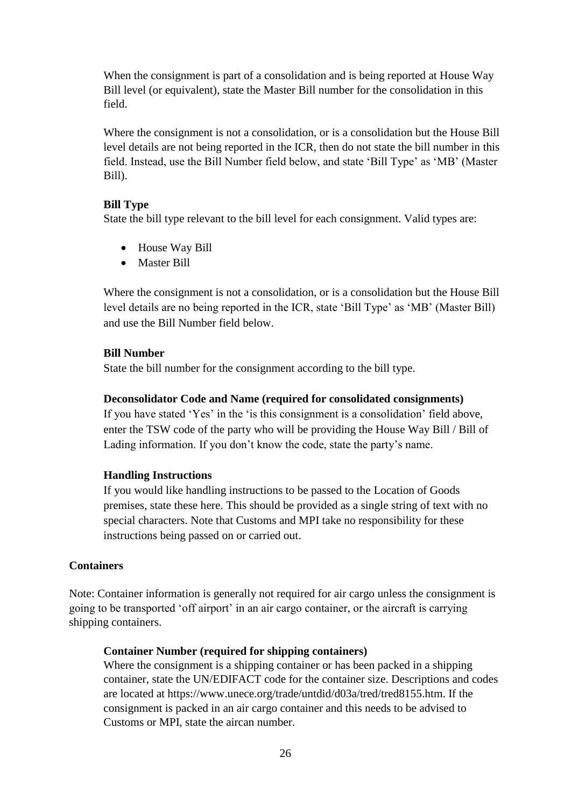When the consignment is part of a consolidation and is being reported at House Way Bill level (or equivalent), state the Master Bill number for the consolidation in this field.

Where the consignment is not a consolidation, or is a consolidation but the House Bill level details are not being reported in the ICR, then do not state the bill number in this field. Instead, use the Bill Number field below, and state 'Bill Type' as 'MB' (Master Bill).

# **Bill Type**

State the bill type relevant to the bill level for each consignment. Valid types are:

- House Way Bill
- Master Bill

Where the consignment is not a consolidation, or is a consolidation but the House Bill level details are no being reported in the ICR, state 'Bill Type' as 'MB' (Master Bill) and use the Bill Number field below.

# **Bill Number**

State the bill number for the consignment according to the bill type.

### **Deconsolidator Code and Name (required for consolidated consignments)**

If you have stated 'Yes' in the 'is this consignment is a consolidation' field above, enter the TSW code of the party who will be providing the House Way Bill / Bill of Lading information. If you don't know the code, state the party's name.

# **Handling Instructions**

If you would like handling instructions to be passed to the Location of Goods premises, state these here. This should be provided as a single string of text with no special characters. Note that Customs and MPI take no responsibility for these instructions being passed on or carried out.

# **Containers**

Note: Container information is generally not required for air cargo unless the consignment is going to be transported 'off airport' in an air cargo container, or the aircraft is carrying shipping containers.

#### **Container Number (required for shipping containers)**

Where the consignment is a shipping container or has been packed in a shipping container, state the UN/EDIFACT code for the container size. Descriptions and codes are located at https://www.unece.org/trade/untdid/d03a/tred/tred8155.htm. If the consignment is packed in an air cargo container and this needs to be advised to Customs or MPI, state the aircan number.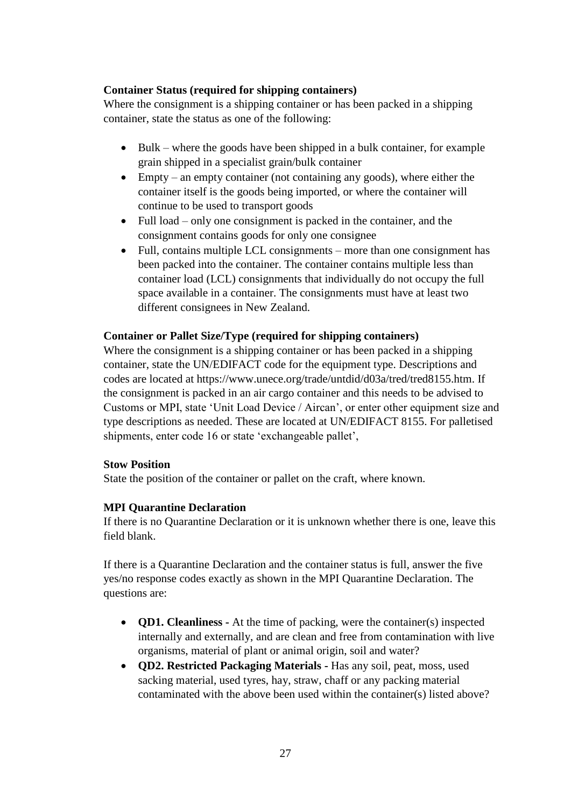# **Container Status (required for shipping containers)**

Where the consignment is a shipping container or has been packed in a shipping container, state the status as one of the following:

- $\bullet$  Bulk where the goods have been shipped in a bulk container, for example grain shipped in a specialist grain/bulk container
- Empty an empty container (not containing any goods), where either the container itself is the goods being imported, or where the container will continue to be used to transport goods
- Full load only one consignment is packed in the container, and the consignment contains goods for only one consignee
- Full, contains multiple LCL consignments more than one consignment has been packed into the container. The container contains multiple less than container load (LCL) consignments that individually do not occupy the full space available in a container. The consignments must have at least two different consignees in New Zealand.

# **Container or Pallet Size/Type (required for shipping containers)**

Where the consignment is a shipping container or has been packed in a shipping container, state the UN/EDIFACT code for the equipment type. Descriptions and codes are located at https://www.unece.org/trade/untdid/d03a/tred/tred8155.htm. If the consignment is packed in an air cargo container and this needs to be advised to Customs or MPI, state 'Unit Load Device / Aircan', or enter other equipment size and type descriptions as needed. These are located at UN/EDIFACT 8155. For palletised shipments, enter code 16 or state 'exchangeable pallet',

#### **Stow Position**

State the position of the container or pallet on the craft, where known.

# **MPI Quarantine Declaration**

If there is no Quarantine Declaration or it is unknown whether there is one, leave this field blank.

If there is a Quarantine Declaration and the container status is full, answer the five yes/no response codes exactly as shown in the MPI Quarantine Declaration. The questions are:

- **QD1. Cleanliness** At the time of packing, were the container(s) inspected internally and externally, and are clean and free from contamination with live organisms, material of plant or animal origin, soil and water?
- **QD2. Restricted Packaging Materials -** Has any soil, peat, moss, used sacking material, used tyres, hay, straw, chaff or any packing material contaminated with the above been used within the container(s) listed above?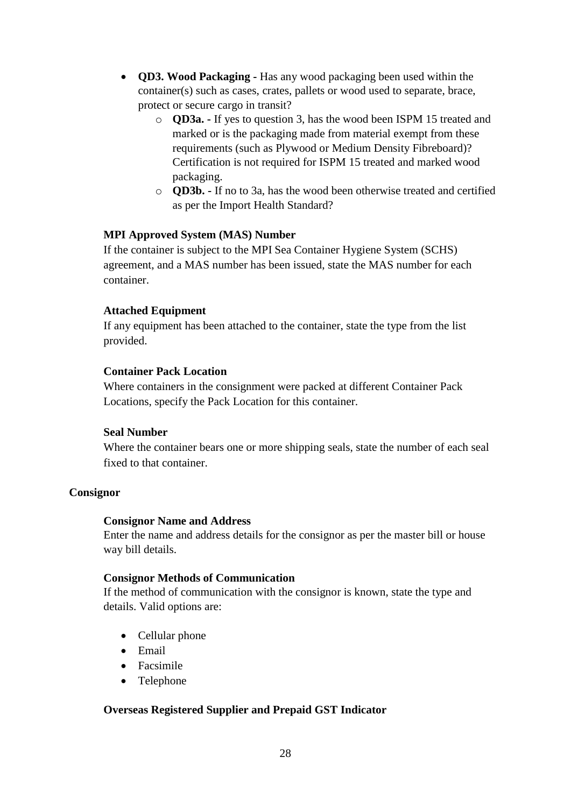- **QD3. Wood Packaging -** Has any wood packaging been used within the container(s) such as cases, crates, pallets or wood used to separate, brace, protect or secure cargo in transit?
	- o **QD3a. -** If yes to question 3, has the wood been ISPM 15 treated and marked or is the packaging made from material exempt from these requirements (such as Plywood or Medium Density Fibreboard)? Certification is not required for ISPM 15 treated and marked wood packaging.
	- o **QD3b. -** If no to 3a, has the wood been otherwise treated and certified as per the Import Health Standard?

# **MPI Approved System (MAS) Number**

If the container is subject to the MPI Sea Container Hygiene System (SCHS) agreement, and a MAS number has been issued, state the MAS number for each container.

# **Attached Equipment**

If any equipment has been attached to the container, state the type from the list provided.

# **Container Pack Location**

Where containers in the consignment were packed at different Container Pack Locations, specify the Pack Location for this container.

#### **Seal Number**

Where the container bears one or more shipping seals, state the number of each seal fixed to that container.

#### **Consignor**

#### **Consignor Name and Address**

Enter the name and address details for the consignor as per the master bill or house way bill details.

#### **Consignor Methods of Communication**

If the method of communication with the consignor is known, state the type and details. Valid options are:

- Cellular phone
- Email
- Facsimile
- Telephone

# **Overseas Registered Supplier and Prepaid GST Indicator**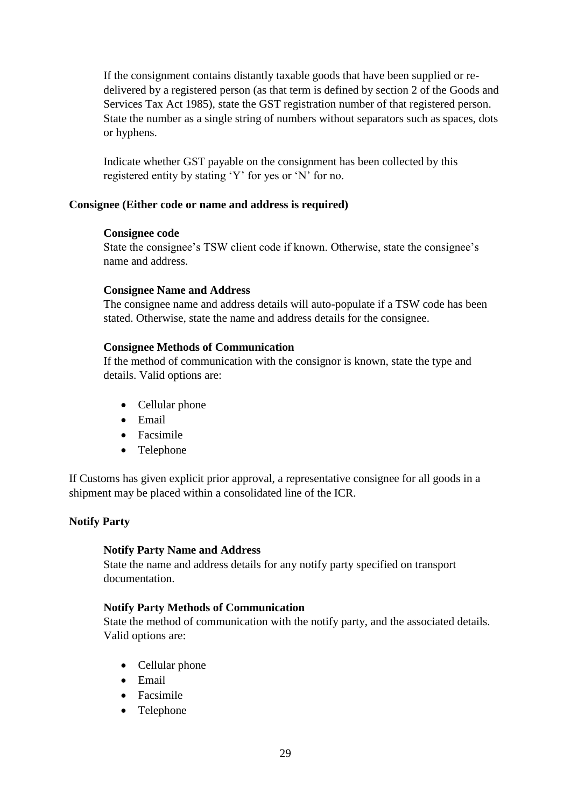If the consignment contains distantly taxable goods that have been supplied or redelivered by a registered person (as that term is defined by section 2 of the Goods and Services Tax Act 1985), state the GST registration number of that registered person. State the number as a single string of numbers without separators such as spaces, dots or hyphens.

Indicate whether GST payable on the consignment has been collected by this registered entity by stating 'Y' for yes or 'N' for no.

#### **Consignee (Either code or name and address is required)**

#### **Consignee code**

State the consignee's TSW client code if known. Otherwise, state the consignee's name and address.

#### **Consignee Name and Address**

The consignee name and address details will auto-populate if a TSW code has been stated. Otherwise, state the name and address details for the consignee.

#### **Consignee Methods of Communication**

If the method of communication with the consignor is known, state the type and details. Valid options are:

- Cellular phone
- Email
- Facsimile
- Telephone

If Customs has given explicit prior approval, a representative consignee for all goods in a shipment may be placed within a consolidated line of the ICR.

#### **Notify Party**

#### **Notify Party Name and Address**

State the name and address details for any notify party specified on transport documentation.

#### **Notify Party Methods of Communication**

State the method of communication with the notify party, and the associated details. Valid options are:

- Cellular phone
- Email
- Facsimile
- Telephone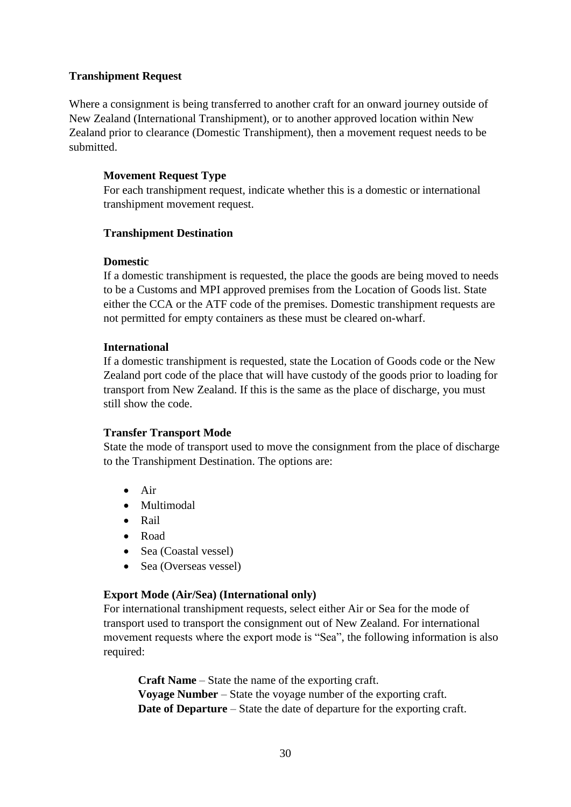# **Transhipment Request**

Where a consignment is being transferred to another craft for an onward journey outside of New Zealand (International Transhipment), or to another approved location within New Zealand prior to clearance (Domestic Transhipment), then a movement request needs to be submitted.

# **Movement Request Type**

For each transhipment request, indicate whether this is a domestic or international transhipment movement request.

# **Transhipment Destination**

# **Domestic**

If a domestic transhipment is requested, the place the goods are being moved to needs to be a Customs and MPI approved premises from the Location of Goods list. State either the CCA or the ATF code of the premises. Domestic transhipment requests are not permitted for empty containers as these must be cleared on-wharf.

# **International**

If a domestic transhipment is requested, state the Location of Goods code or the New Zealand port code of the place that will have custody of the goods prior to loading for transport from New Zealand. If this is the same as the place of discharge, you must still show the code.

# **Transfer Transport Mode**

State the mode of transport used to move the consignment from the place of discharge to the Transhipment Destination. The options are:

- $\bullet$  Air
- Multimodal
- Rail
- Road
- Sea (Coastal vessel)
- Sea (Overseas vessel)

# **Export Mode (Air/Sea) (International only)**

For international transhipment requests, select either Air or Sea for the mode of transport used to transport the consignment out of New Zealand. For international movement requests where the export mode is "Sea", the following information is also required:

**Craft Name** – State the name of the exporting craft. **Voyage Number** – State the voyage number of the exporting craft. **Date of Departure** – State the date of departure for the exporting craft.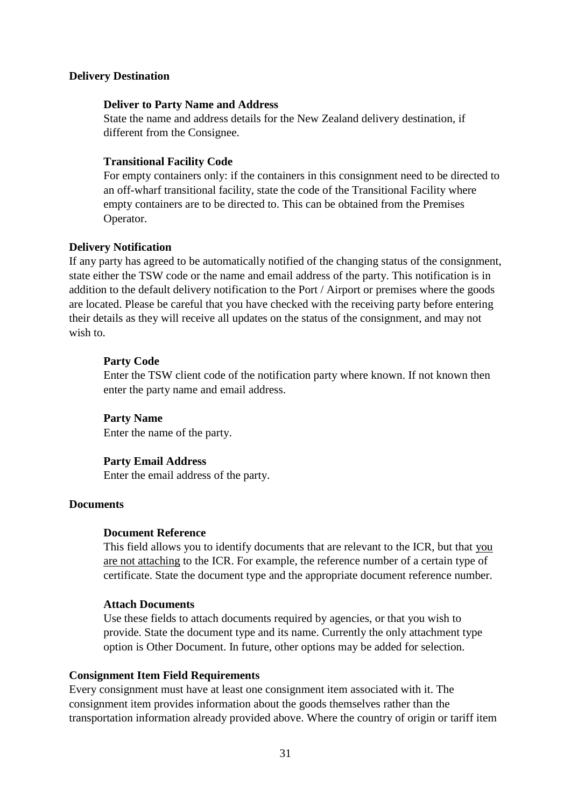#### **Delivery Destination**

#### **Deliver to Party Name and Address**

State the name and address details for the New Zealand delivery destination, if different from the Consignee.

#### **Transitional Facility Code**

For empty containers only: if the containers in this consignment need to be directed to an off-wharf transitional facility, state the code of the Transitional Facility where empty containers are to be directed to. This can be obtained from the Premises Operator.

#### **Delivery Notification**

If any party has agreed to be automatically notified of the changing status of the consignment, state either the TSW code or the name and email address of the party. This notification is in addition to the default delivery notification to the Port / Airport or premises where the goods are located. Please be careful that you have checked with the receiving party before entering their details as they will receive all updates on the status of the consignment, and may not wish to.

#### **Party Code**

Enter the TSW client code of the notification party where known. If not known then enter the party name and email address.

#### **Party Name**

Enter the name of the party.

#### **Party Email Address**

Enter the email address of the party.

#### **Documents**

#### **Document Reference**

This field allows you to identify documents that are relevant to the ICR, but that you are not attaching to the ICR. For example, the reference number of a certain type of certificate. State the document type and the appropriate document reference number.

#### **Attach Documents**

Use these fields to attach documents required by agencies, or that you wish to provide. State the document type and its name. Currently the only attachment type option is Other Document. In future, other options may be added for selection.

#### **Consignment Item Field Requirements**

Every consignment must have at least one consignment item associated with it. The consignment item provides information about the goods themselves rather than the transportation information already provided above. Where the country of origin or tariff item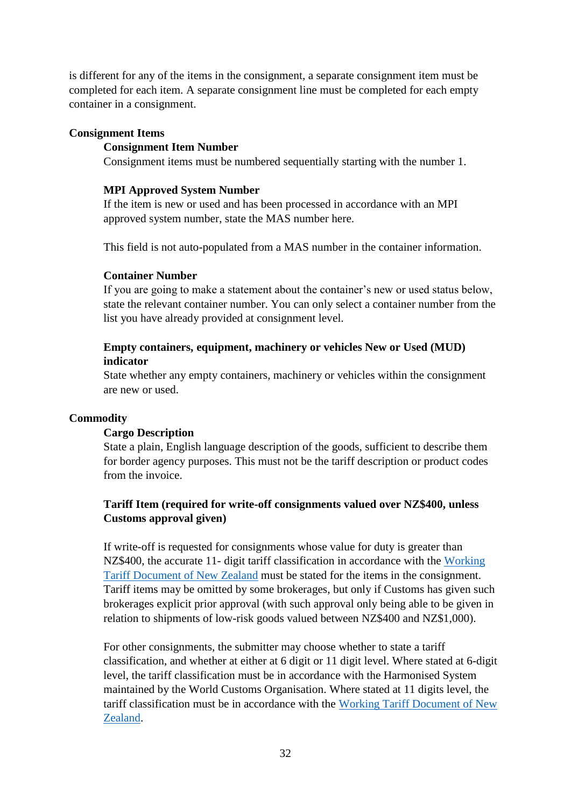is different for any of the items in the consignment, a separate consignment item must be completed for each item. A separate consignment line must be completed for each empty container in a consignment.

#### **Consignment Items**

#### **Consignment Item Number**

Consignment items must be numbered sequentially starting with the number 1.

#### **MPI Approved System Number**

If the item is new or used and has been processed in accordance with an MPI approved system number, state the MAS number here.

This field is not auto-populated from a MAS number in the container information.

#### **Container Number**

If you are going to make a statement about the container's new or used status below, state the relevant container number. You can only select a container number from the list you have already provided at consignment level.

# **Empty containers, equipment, machinery or vehicles New or Used (MUD) indicator**

State whether any empty containers, machinery or vehicles within the consignment are new or used.

#### **Commodity**

#### **Cargo Description**

State a plain, English language description of the goods, sufficient to describe them for border agency purposes. This must not be the tariff description or product codes from the invoice.

# **Tariff Item (required for write-off consignments valued over NZ\$400, unless Customs approval given)**

If write-off is requested for consignments whose value for duty is greater than NZ\$400, the accurate 11- digit tariff classification in accordance with the [Working](https://www.customs.govt.nz/business/tariffs/working-tariff-document/)  [Tariff Document of New Zealand](https://www.customs.govt.nz/business/tariffs/working-tariff-document/) must be stated for the items in the consignment. Tariff items may be omitted by some brokerages, but only if Customs has given such brokerages explicit prior approval (with such approval only being able to be given in relation to shipments of low-risk goods valued between NZ\$400 and NZ\$1,000).

For other consignments, the submitter may choose whether to state a tariff classification, and whether at either at 6 digit or 11 digit level. Where stated at 6-digit level, the tariff classification must be in accordance with the Harmonised System maintained by the World Customs Organisation. Where stated at 11 digits level, the tariff classification must be in accordance with the [Working Tariff Document of New](https://www.customs.govt.nz/business/tariffs/working-tariff-document/)  [Zealand.](https://www.customs.govt.nz/business/tariffs/working-tariff-document/)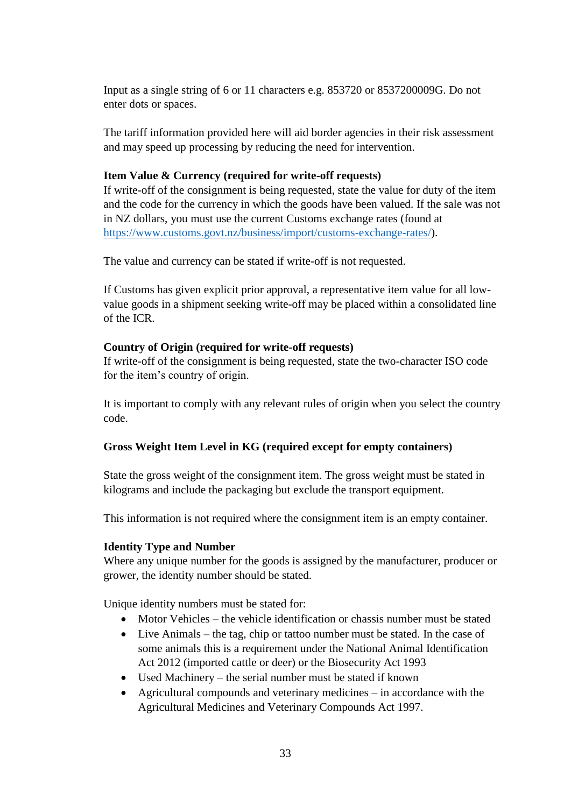Input as a single string of 6 or 11 characters e.g. 853720 or 8537200009G. Do not enter dots or spaces.

The tariff information provided here will aid border agencies in their risk assessment and may speed up processing by reducing the need for intervention.

# **Item Value & Currency (required for write-off requests)**

If write-off of the consignment is being requested, state the value for duty of the item and the code for the currency in which the goods have been valued. If the sale was not in NZ dollars, you must use the current Customs exchange rates (found at [https://www.customs.govt.nz/business/import/customs-exchange-rates/\)](https://www.customs.govt.nz/business/import/customs-exchange-rates/).

The value and currency can be stated if write-off is not requested.

If Customs has given explicit prior approval, a representative item value for all lowvalue goods in a shipment seeking write-off may be placed within a consolidated line of the ICR.

#### **Country of Origin (required for write-off requests)**

If write-off of the consignment is being requested, state the two-character ISO code for the item's country of origin.

It is important to comply with any relevant rules of origin when you select the country code.

#### **Gross Weight Item Level in KG (required except for empty containers)**

State the gross weight of the consignment item. The gross weight must be stated in kilograms and include the packaging but exclude the transport equipment.

This information is not required where the consignment item is an empty container.

#### **Identity Type and Number**

Where any unique number for the goods is assigned by the manufacturer, producer or grower, the identity number should be stated.

Unique identity numbers must be stated for:

- Motor Vehicles the vehicle identification or chassis number must be stated
- Live Animals the tag, chip or tattoo number must be stated. In the case of some animals this is a requirement under the National Animal Identification Act 2012 (imported cattle or deer) or the Biosecurity Act 1993
- Used Machinery the serial number must be stated if known
- Agricultural compounds and veterinary medicines in accordance with the Agricultural Medicines and Veterinary Compounds Act 1997.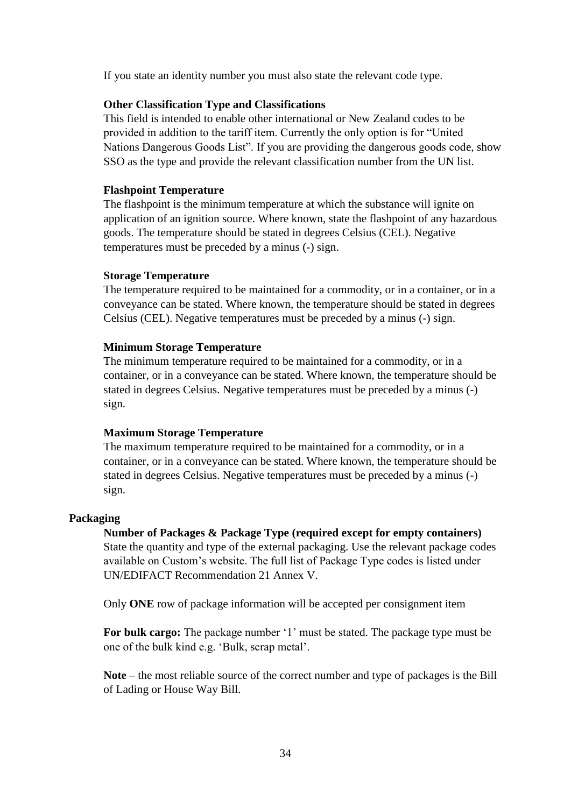If you state an identity number you must also state the relevant code type.

#### **Other Classification Type and Classifications**

This field is intended to enable other international or New Zealand codes to be provided in addition to the tariff item. Currently the only option is for "United Nations Dangerous Goods List". If you are providing the dangerous goods code, show SSO as the type and provide the relevant classification number from the UN list.

#### **Flashpoint Temperature**

The flashpoint is the minimum temperature at which the substance will ignite on application of an ignition source. Where known, state the flashpoint of any hazardous goods. The temperature should be stated in degrees Celsius (CEL). Negative temperatures must be preceded by a minus (-) sign.

#### **Storage Temperature**

The temperature required to be maintained for a commodity, or in a container, or in a conveyance can be stated. Where known, the temperature should be stated in degrees Celsius (CEL). Negative temperatures must be preceded by a minus (-) sign.

#### **Minimum Storage Temperature**

The minimum temperature required to be maintained for a commodity, or in a container, or in a conveyance can be stated. Where known, the temperature should be stated in degrees Celsius. Negative temperatures must be preceded by a minus (-) sign.

#### **Maximum Storage Temperature**

The maximum temperature required to be maintained for a commodity, or in a container, or in a conveyance can be stated. Where known, the temperature should be stated in degrees Celsius. Negative temperatures must be preceded by a minus (-) sign.

#### **Packaging**

**Number of Packages & Package Type (required except for empty containers)** State the quantity and type of the external packaging. Use the relevant package codes available on Custom's website. The full list of Package Type codes is listed under UN/EDIFACT Recommendation 21 Annex V.

Only **ONE** row of package information will be accepted per consignment item

**For bulk cargo:** The package number '1' must be stated. The package type must be one of the bulk kind e.g. 'Bulk, scrap metal'.

**Note** – the most reliable source of the correct number and type of packages is the Bill of Lading or House Way Bill.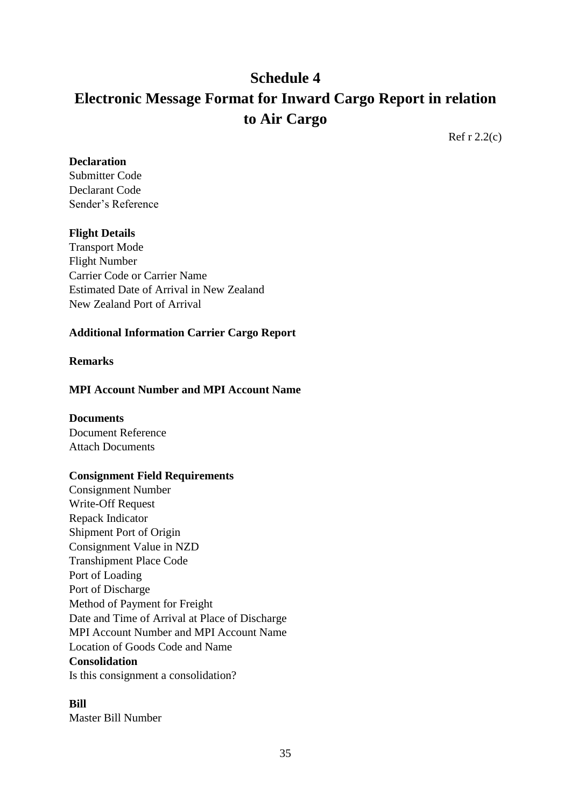# **Schedule 4 Electronic Message Format for Inward Cargo Report in relation to Air Cargo**

Ref r 2.2(c)

#### **Declaration**

Submitter Code Declarant Code Sender's Reference

# **Flight Details**

Transport Mode Flight Number Carrier Code or Carrier Name Estimated Date of Arrival in New Zealand New Zealand Port of Arrival

# **Additional Information Carrier Cargo Report**

#### **Remarks**

# **MPI Account Number and MPI Account Name**

# **Documents**

Document Reference Attach Documents

#### **Consignment Field Requirements**

Consignment Number Write-Off Request Repack Indicator Shipment Port of Origin Consignment Value in NZD Transhipment Place Code Port of Loading Port of Discharge Method of Payment for Freight Date and Time of Arrival at Place of Discharge MPI Account Number and MPI Account Name Location of Goods Code and Name **Consolidation** Is this consignment a consolidation?

#### **Bill**

Master Bill Number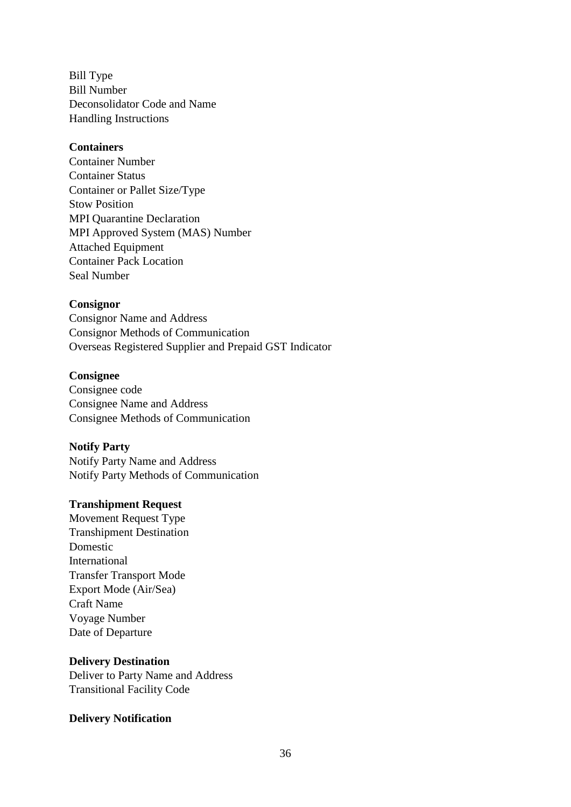Bill Type Bill Number Deconsolidator Code and Name Handling Instructions

#### **Containers**

Container Number Container Status Container or Pallet Size/Type Stow Position MPI Quarantine Declaration MPI Approved System (MAS) Number Attached Equipment Container Pack Location Seal Number

#### **Consignor**

Consignor Name and Address Consignor Methods of Communication Overseas Registered Supplier and Prepaid GST Indicator

### **Consignee**

Consignee code Consignee Name and Address Consignee Methods of Communication

# **Notify Party**

Notify Party Name and Address Notify Party Methods of Communication

# **Transhipment Request**

Movement Request Type Transhipment Destination Domestic International Transfer Transport Mode Export Mode (Air/Sea) Craft Name Voyage Number Date of Departure

#### **Delivery Destination**

Deliver to Party Name and Address Transitional Facility Code

#### **Delivery Notification**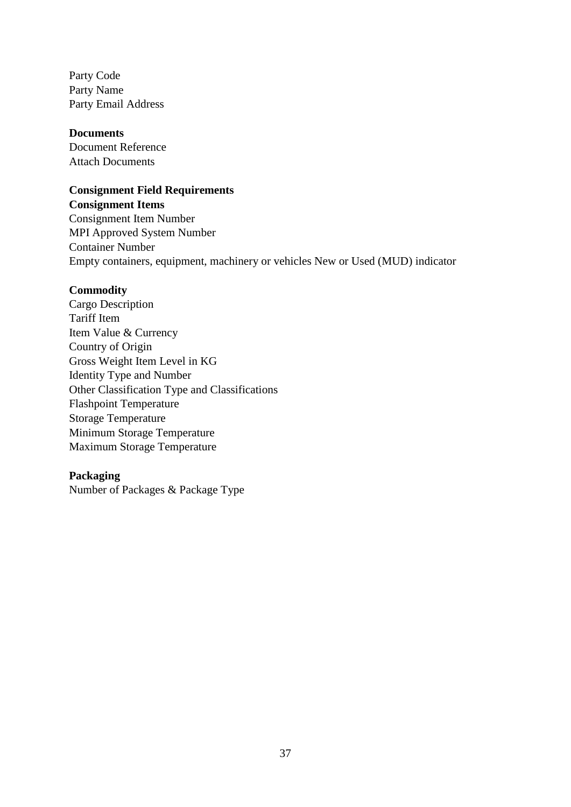Party Code Party Name Party Email Address

#### **Documents**

Document Reference Attach Documents

# **Consignment Field Requirements**

**Consignment Items** Consignment Item Number MPI Approved System Number Container Number Empty containers, equipment, machinery or vehicles New or Used (MUD) indicator

#### **Commodity**

Cargo Description Tariff Item Item Value & Currency Country of Origin Gross Weight Item Level in KG Identity Type and Number Other Classification Type and Classifications Flashpoint Temperature Storage Temperature Minimum Storage Temperature Maximum Storage Temperature

#### **Packaging**

Number of Packages & Package Type